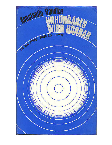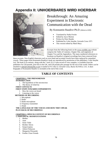# **Appendix II: UNHOERBARES WIRD HOERBAR**



# Breakthrough: An Amazing Experiment in Electronic Communication with the Dead

By Konstantin Raudive Ph.D. (shown at left)

- Translated by Nadia Fowler
- Edited by Joyce Morton
- Preface by Peter Bander
- Published by Colin Smythe, Gerrards Cross 1971
- This version edited by Mark Macy

Excerpts from the following book on the www.worlditc.org website comprise the Table of Contents, Chapter One, and segments of Chapter Two and the Appendices. The many numbered references to locations on Raudive's original recordings have been removed from

these excerpts. Non-English characters such as over-lined and accented vowels have been replaced by unmarked vowels. These pages from Konstantin Raudive's book are reproduced by permission of the publishers, Colin Smythe Ltd. The book in its entirety, along with the 7-inch 33-1/3 rpm record of voice samples, is available from the publishers for £20 pounds, post-free in the UK, and £20 pounds plus postage for the rest of the world. Orders can be emailed to [sales@colinsmythe.co.uk](mailto:sales@colinsmythe.co.uk) or mailed to P.O. Box 6, Gerrards Cross, Bucks SL9 8XA, U.K. A short biography of Konstantin Raudive is included at the end of this work.

# **TABLE OF CONTENTS**

#### **[CHAPTER 1:](http://www.worlditc.org/c_03_raudive_break_ch1.htm) THE PHENOMENON INTRODUCTION**

- 1. The hypothesis of the unconscious
- 2. The theory of relativity

**FIRST CONTACTS**

#### **FIRST STEPS TOWARDS EXPERIMENTS**

- 1. How the voices are heard
- 2. Listening to the voices

#### **METHODS OF RECORDING**

- 1. Microphone
- 2. Radio
- 3. Radio-microphone
- 4. Frequency-transmitter
- 5. Diode

**THE LANGUAGE OF THE VOICES AND HOW THEY SPEAK PLAY-BACK OF RECORDINGS** 

#### **[CHAPTER 2:](http://www.worlditc.org/c_03_raudive_break_ch2.htm) SPEECH-CONTENT OF RECORDINGS 1. INDIVIDUAL MANIFESTATIONS**

- 1. Mother
- 2. Aunt
- 3. Sister Tekle
- 4. Brother Alexis
- 5. Sonja/Liepina
- 6. Aileen Finlayson
- 7. Margarete Petrautski
- 8. Further Close Friends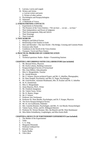- 9. Latvians, Latvia and Latgale
- 10. Writers and Artists
	- a. Latvian writers and poets
	- b. Writers of other nations
- 11. Psychologists and Parapsychologists
- 12. Statesmen
- 13. A Multitude of Voices

#### **2. STRENGTHENING CONTACTS**

- 1. Experiments in Partnership
- 2. The Presence of the Voice-Entities---"We are here … we see … we hear."
- 3. Their Independence and Power of Judgment
- 4. Their Encouragement, Help and Advice
- 5. Their Warnings
- 6. Their Gratitude

#### **3. TWO WORLDS**

- 1. Religious and Ethical Factors
- 2. Relationship of the Entities to Earth
- 3. Here and Hereafter---The Anti-World---The Bridge, Crossing and Customs-Points
- 4. Existence after Death
- 5. Conditions in the World of the Voice-Entities
- 6. Transport, Travel and Place-Names

#### **4. PRACTICAL PROBLEMS OF COMMUNICATION**

- 1. Spidola
- 2. Technical questions: Radio---Radar---Transmitting Stations

#### **CHAPTER 3: RECORDINGS WITH COLLABORATORS (not included)**

- 1. Mr. Bernard Weiss, Physicist
- 2. Mr. Karlis Lidums, Building Contractor
- 3. Parapsychological Society of Switzerland
- 4. Mrs. Irma Millere, Educationalist
- 5. Miss A. Morgenthaler, Teacher
- 6. Dr. Arnold Reincke
- 7. Mr. F. Scherer, Electro technical Expert, and Mr. G. Inhoffen, Photographer,
- 8. Dr. Hans Naegeli, Psychiatrist, and Mrs. K. Nager, Psychologist
- 9. Mr. Gerd Kramer, Assistant Headmaster, Mrs. H. Kramer and Mr. G. Inhoffen
- 10. Dr. R. Zimmerman
- 11. Miss A. Morgenthaler
- 12. Zenta Maurina, Ph.D., Writer
- 13. Mr. Friedrich Juergenson
- 14. Mr. Valerij Tarsis, Writer
- 15. Mr. K. Bauers, Singer
- 16. Mr. F. Scherer
- 17. Professor Atis Teichmanis
- 18. Professor Dr. Hans Bender, Psychologist, and Dr. F. Karger, Physicist
- 19. The Swiss Parapsychological Society
- 20. Mr. H. von Guilleaume, Publisher
- 21. Mrs. Cornelia Brunner, Psychologist, and Mrs. N. von Muralt, Parasychologist
- 22. Valerij Tarsis, Writer, and Dr. Hildegard Dietrich
- 23. Professor Dr. Werner Brunner, Mrs. Ida Bianchi and Mr. Peter Rutishauser
- 24. Miss Helen Schnidheiny, Graphologist, and Miss Katrin Bolli

#### **CHAPTER 4: RESULTS OF PARTNERSHIP EXPERIMENTS (not included)**

- 1. The Mother of the Experimenter
- 2. Tekle
- 3. C. G. Jung
- 4. Margarete Petrautzki
- 5. Professor Gebhard Frei
- 6. Edvards Virza
- 7. Karlis Skalbe
- 8. Vilis LBcis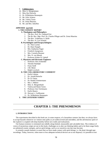#### 9. **Collaborators:**

- 10. Miss A. Morgenthaler
- 11. Miss Ilse Diersche
- 12. Dr. Wilhelmina Hennequin
- 13. Mr. Felix Scherer
- 14. Mr. Valerij Tarsis
- 15. Dr. Zenta Maurina
- 16. Mr. and Mrs. Inhoffen

#### **APPENDIX (partial)**

#### **1. THE EXPERTS' REPORT**

#### **A. Theologians and Philosophers**

- 1. The Rev. Prof. Dr. Gebhard Frei
- 2. The Rt. Rev. Mgr. Prof. Dr. Charles Pfleger and Dr. Zenta Maurina
- 3. The Rev. Voldemars A. Rolle
- 4. The Rev. Fr. Leo Schmid

#### **B. Psychologists and Parapsychologists**

- 1. Dr. Theo Locher
- 2. Dr. Hans Naegeli
- 3. Mrs. Katharina Nager
- 4. Friedrich Juergenson
- 5. Mrs. Cornelia Brunner
- 6. Mrs. N. von Muralt
- 7. Professor Walter H. Uphoff

#### **C. Physicists and Electronic Engineers**

- 1. Professor Alex Schneider
- 2. Theodor Rudolph
- 3. Franz Seidl
- 4. J.M. Meier
- 5. Ralph Lovelock

#### **D. THE COLLABORATORS' COMMENT**

#### 1. Karlis Lidums

- 2. Dr. Arnold Reincke
- 3. Dr. R. Fatzer
- 4. Dr. Rudolf Zimmermann
- 5. Mrs. I. Millere
- 6. Miss A. Morgenthaler
- 7. Valerij and Hanni Tarsis
- 8. Professor Atis Teichmanis
- 9. Karlis Bauers
- 10. Herwart v. Guilleaume
- 11. Dr. Wilhelmine Hennequin
- **3. THE LISTENERS VERIFY**

# **CHAPTER 1: THE PHENOMENON**

#### **1. INTRODUCTION**

The experiments described in this book are, in some respects, of a hazardous venture; but then, we always have to accept hazards whenever we venture onto paths as yet undiscovered and untrodden, and the adventurous spirit of the explorer is coupled with deep humility before new truths and realizations.

Our human existence is orientated one-sidedly along limited, measurable and calculable lines. The evidence of voices of mysterious origin set out in this book, challenges us to alter our thinking habits and to let them range freely on unfettered cosmic energies, and on spirit-beings, such as we ourselves one day may become.

It certainly sounds fantastic to assert that we have made contact with spirit-beings, i.e. the dead, through tape recordings. Today, however, when more or less adequate technical devices are at our disposal, it is possible to test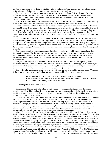the facts by experiment and to lift them out of the realm of the fantastic. Tape-recorder, radio and microphone give us facts in an entirely impersonal way and their objectivity cannot be challenged.

The present stage of the investigation reveals this contact as, so far, only the delicate, fleeting pulse of a new reality, no more than vaguely discernible as yet, because of our lack of experience and the inadequacy of our technical aids. Nevertheless, the voices here described can open up new spiritual vistas, irrespective of how we explain, interpret and understand them.

Man has an inherent, stubborn characteristic: the wish to fathom his own destiny--within himself and concerning himself. We die whilst we live, for our concepts of life and death conceal the future that awaits us.

From the fragments we hear in the voice-experiments I have made, we can perhaps form some ideas about this problem. My research has led me to the personal conclusion that apart from the biological-psychica1 level on which we human beings here exist, there is a second level: that of the psychical-spiritual being, whose potentialities are only released after death. This psychical-spiritual being tries to build a bridge between its world and that of our earthly form of life, and it endeavors on its own initiative to make contact in order to guide those on earth into a new reality.

Only someone who himself ventures to plumb these inaccessible layers of human existence, where we discern neither beginning nor end, only a forward compulsion of ourselves and our lives, can assess the true position. It is quite possible that one day results will emerge from the voice-experiments that will have a bearing on the highest, indeed the ultimate goal man has sought throughout the ages and is still seeking--the answer to the question: who am I and where am I going? Death might then be seen as no more than a metamorphosis from one state of development to another.

This thought, as well as the attempt to contact those in the so-called next world, is nothing new. From time immemorial man's mind has been preoccupied with the idea of a hereafter and has tried to gain visual or acoustic impressions of it. We only have to remember the ancient Indian and Creek, and the early Christian religious experiences. Similar attempted realizations have also been experienced through Spiritualism, Occultism and Anthroposophy.

The present investigation takes a different course: it is based on acoustics and leads to empirically provable reality with a factual background that can open new perspectives for the study of psychology. We are trying to gain some insight into this as yet unknown reality, and such insight not only changes our ideas and gives new direction to the activities of our psyche, but points to undreamed-of powers reigning within us and over us.

Those oriented towards natural science believe that such problems can be solved by empirical means. This book is the record of an attempt to do so. I believe the solution to the problem lies in two directions:

(A) New insight into the domination of the unconscious (or subconscious).

(B) New aspects of the theory of relativity (our relativeness, not Einstein's theory), which gains considerable impetus through the voice-phenomenon.

#### **(A) The hypothesis of the unconscious**

The existence of the voices is established through the sense of hearing; methodic repetition then makes deciphering and !checking possible. The voice-phenomenon is autonomous, as far as the listener is concerned, for it manifests on tape recordings through radio or microphone. Anybody can study it and, by fulfilling certain preconditions, take up contact with it.

During experiments with the voices no spontaneous instances were observed. The phenomenon always manifests steadily and adheres strictly to its characteristics. Consequently the voices can be distinguished from noises emanating from different sources in the atmosphere. These constantly repeated, unmistakable features are a safeguard against psycho-acoustic deception and freakish radio sounds, habitually used by a priori skeptics as an explanation of their own negative attitude. As the voice-phenomenon is of an empirical nature, the suspicion of trickery, fraud, or self-deception, constantly leveled against parapsychological manifestations, falls away automatically, for the voice-phenomenon can be examined with scientific accuracy.

It is a well-known fact that man has the innate ability to act upon matter without physical action. This psychic faculty is known as telekinesis. Rhine and his successors are of the opinion that subconscious psychic forces stand as basic factors behind parapsychological phenomena. This view gave rise to the belief that our subconscious mind is just as autonomous as our conscious one, that these two layers of our mind can act independently of one another and that the various problems of parapsychology are subordinate to the function of the "unconscious". Accordingly, we should equally look for the key to the voice-phenomenon in the realm of the unconscious. This belief ranks amongst the most ingenious rationalistic hypotheses and belongs almost to a tendency to explain man himself.

Professor Hans Bender, who has advocated this hypothesis for thirty years, wrote in his paper "Zum Problem der Aussersinnlichen Wahrnehmung" (The Problem of Extra-Sensory Perception, 1936; pages 34 to 35): "The tendency towards a personality synthesis of dissociated psychic content can often be observed in automatic writing or spelling of quite normal persons. Usually the impulse to create such personifications comes from environmental suggestions,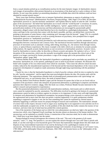from a casual stimulus picked up as crystallization-nucleus for the most fantastic images. In Spiritualistic séances such images of personalities often present themselves as incarnations of the dead and try to give evidence of their identity. In rare cases they produce an astonishing abundance of verifiable data which the medium could not have obtained by normal sensory means."

Thirty years later Professor Bender tries to interpret Spiritualistic phenomena as aspects of pathology in his "Mediumistische Psychosen" (Mediumististic Psychoses; Parapsychology, 1966, Pages 574 to 604). He describes Spiritualistic practices as "psycho-mechanic automatism" and explains them by means of what he calls "overflow pipes of the unconscious": the belief that Spiritualists are in touch with the "world beyond" is erroneous, he asserts, for the Spiritualistic supposition that other-worldly intelligences, "spirits", appear before us stems from the personification-tendency of the unconscious and these phenomena are encouraged by paranormally gifted automatists; alleged contact with the dead therefore has to be classified as a pathological phenomenon. "Many find solace and hope in the conviction that contact with the dead is possible, and they can defend their conviction by pointing to documents of some literary value containing such 'messages from the beyond' " (page 576). In a nutshell: Professor Bender's own observations, as well as existing literature on psychiatry, have prompted him to regard Spiritualistic practices as "mediumistic psychoses".

Professor Bender's term for functions provoked by such subconscious reactions is "psychic automatism", and he distinguishes between a mechanical and a sensory form. The mechanical function manifests through subconscious processes of movement such as automatic writing, table-tilting, knocking, etc.; the sensory form through visions, voices, or optical illusory experiences. His classic example is the shell, which acts as stimulus for acoustic pseudohallucinations. He regards acoustic hallucinations as rare occurrences in Spiritualistic practices. Acoustic voices, heard by Spiritualists or mystics alike, he describes as illusory acoustic perception. He explains it all as a "clever deception of the unconscious, which uses the normally incorruptible senses the moment the critical ratio of the patient is no longer convinced by former procedures--a sign of the strange split in the personalities of such Spiritualistic adepts" (page 584).

Professor Bender thus dismisses the Spiritualist's hypothesis as pathological and so precludes any possibility of discussion. Spiritualists are, in his opinion, pathological cases in need of psychiatric treatment. He illustrates this belief with examples of his own observations from which he concludes: "Once more the affective shock becomes evident, induced by the misunderstood experience of the beyond and the functional dependence of the voices on the progressive development of complexes made autonomous through night-long experimenting with the pendulum" (page 599).

Clearly his view is that the Spiritualist hypothesis is a kind of psychic sickness which he tries to explain by what he calls "psychic automatism", and he regrets that most psychologists dismiss the idea. His treatise ends with the following statement: ''The superstitious attitudes built on misunderstood communication with 'spirit-beings' are widespread and carry, as case histories show, the seeds of mental illness."

One may deduce from Professor Bender's paper and the literature he quotes that in him we are faced with an exponent of the psychiatric school who interprets all paranormal phenomena as pathological symptoms and thereby questions their objective existence. (Note: After this book was written, Professor Bender became interested in the author's research and participated in experiments.)

But the paranormal phenomena connected with materialization mediums, clairvoyants and so-called miracle cures cannot be explained by psychic automatism. The difficulties involved in getting to the bottom of a paranormal phenomenon cannot be taken as evidence against its existence or its importance. It may seem well-nigh impossible to interpret such phenomena by hypothetical assumption, but parapsychology exists expressly to concern itself with the supernormal and in most cases this does not permit a rational supposition. It is quite unimportant whether something is supposed to happen or not; the fact that something that cannot be explained by rational means is definitely happening is sufficient reason for parapsychological research and examination. The materialistic attitude of science fails in this respect, because it tries to argue away anything that is not supposed to exist and does not fit in with the traditionally accepted view of life. It is the problem of life after death that really contains the essence of our existence, and since time out of mind man has probed this central question.

One of the mysteries of the human soul on which the voice phenomenon can shed new light is the question of the unconscious which, since Sigmund Freud's teachings, has become almost an obsession of the human intellect. The unconscious can be explained as scientific fiction, a construction of the conscious mind, but in order to demonstrate this, I shall have to go more deeply into the matter.

Parapsychological research presupposes the existence of the soul. "The soul is the greatest of all cosmic miracles," said C. G. Jung. The question is: can one explain this miracle through one's own self? Does it perish with death, or can this soul hope to exist beyond the grave? We know that materialistic thought denies life after death and disposes of any transcendental expression of our soul by declaring it to be a pathological creation of our unconscious. The theory of the unconscious originated amongst such romantics of psychology as Carl Gustav Carus, 1789-1869, and the philosopher Eduard von Hartmann, 1842-1906, who became known as the "philosopher of the subconscious".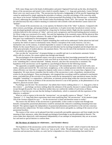Well, many things start in the heads of philosophers and poets! Sigmund Freud took up the idea, developed the theory of the unconscious and turned it into a kind of scientific dogma. C. G. Jung and, particularly, Gustav Richard Heyer were very much aware of this. "The unconscious has become a hodgepodge of all the psychic happenings that cannot be understood by simply applying the principles of ordinary, everyday psychology of the conscious mind, says Heyer in his lecture Tiefenpsychologie als Grenzwissenschaft (Psychology of the Subconscious—a Borderline Science), addressing the audience at the second Lindau Psychotherapy Week, 1951. The concept "the unconscious" (or subconscious) has only a relative meaning in connection with scientific truth and therefore cannot claim to be "definite".

This concept of the unconscious can, in my opinion, be likened to that of the "ether" in physics. Compared with other sciences, psychology, and parapsychology in particular, is of quite recent date; but physical science too has only developed gradually and was nourished for a long time by fictitious beliefs. Right into the twentieth century scientists believed in the existence of "ether", and even such a progressive and forward-looking physical scientist as Sir Oliver Lodge was convinced of its reality. Not until the beginning of the twentieth century did the physicist Max Planck dispose of this fictitious substance. He spoke of light quanta and photons and finally came to the conclusion that space was conditioned by electromagnetic radiation.

Prior to Planck, "ether" was made to explain something that could not be understood. Earlier physicists had tried to portray the whole of nature in mechanistic terms. Planck's conception of the world, however, was not a mechanistic one; on the contrary, it seemed impossible to connect it with any kind of mechanistic view of life. Mainly for this reason Planck was at first rejected and ridiculed, but his teaching triumphed and developed into one of the great principles of modern physics--the quantum theory. This was the end of the mechanistic era in physics, and an entirely new phase began.

One can take the "unconscious" of parapsychology as a parallel and rate it as mechanistic-automatic fiction which calls for revision. We cannot explain man through man himself.

The psychologists of the nineteenth century were apt to assume that their knowledge penetrated the whole of creation, and their dogmas on the nature of man were built up on that basis. Even today the unconscious is thought to be "something like a colossal labyrinth". Nobody, however, asks how this unconscious is sustained. The hypothesis of the unconscious can be regarded as a psychological illusion for the following reasons:

The apparently acceptable supposition of an "unconscious" fails immediately when we are faced with a new reality, namely post-mortal life. We come back, straightaway, to the cardinal question whether the unconscious, on whose efficiency our inner life is supposed to depend, really exists or whether it is no more than a figment of our imagination. We must always remember that the reality of the unconscious is only a hypothesis, introduced into science by the psychologists. These psychologists, who imagined that everything could be explained in mechanistic terms, concluded that all the activities of our psyche could also be interpreted by some mechanical means; but this intangible "something" is a supposition, a fabrication, an intensely private thing within the conscious inner realm.

To interpret the voices as products of the unconscious however is out of the question, as the phenomenon is of an objective, physical-acoustic nature.

Psychology uses the term "the unconscious", but admits that it knows nothing about it. C. G. Jung gives a hint in this context: "... psychology can know nothing about the substance of the psyche, because it cannot realize anything except through the psyche. One can therefore neither deny nor confirm the validity of such terms as Manna, Daemon, or God; but one can note that the feeling of unfamiliarity, which is connected with the experience of the objective, is authentic."

What we wish to express in the term the "unconscious", we can equally express as "Manna", "God" or "Daemon". C. G. Jung finds these expressions much more qualifying than "the unconscious". In his memoirs (page 339 of the German original) he says: "... for the unconscious is banal and therefore nearer to reality".

The reason why the theory of the unconscious is questionable, is that it seeks to explain man through man himself; consequently paranormal phenomena would be automatically reduced to something emanating from man himself. This opinion negates the independence of paranormal phenomena and dissolves in the end into conscious and subconscious subjectivism. We know nothing of that which moves and guides us, nothing of the sources of our paranormal faculties.

The essence of the voices can be gleaned from their acoustically perceptible appearance and from insight into the meaning of their utterances, rather than through psychological knowledge or psycho-philosophical theories. The voices make their objectively valid statements independently of our attempts at interpretation; they are an acoustic fact and need no special theories to confirm them.

#### **(B) The theory of relativity (or relativeness… not Einstein's theory)**

The hypothesis of the unconscious can be confronted by that of an "anti-world", which is based on the theory of relativity. There is no "thing as such", there is no "man as such," either. The phenomenon "man" exists, with his conscious and unconscious faculties, as a unit; but he is dependent on a host of relationships that mark him as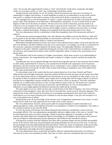"man". He can only then regard himself existent as "man" when both the world and its counterpart--the higher world--are in existence and he, as "man", has a relationship to both these worlds.

Starting from the same premise we see, for instance, that the unconscious can only prove its existence in relationship to a higher consciousness. A world establishes its reality by its relationship to an anti-world; and the anti-world is a condition for the relative existence of the world and of all that is portrayed as reality in man.

This assumption fits in with the hypothesis of "spirits": a spirit-world must exist in order to proclaim the earthly, human world. This hypothesis can be shored up, or demolished by experiments. It is by no means based on mere dogmas of faith, but on the theory of relativity. The key-note of our world is interaction, and man stands at its centre; he is not an exception to the rule, but the result of a great universal "teamwork". This is the reason why it is so difficult to understand man's earthly existence and his higher existence in isolation from each other, or to bring both under a common denominator. Nothing can be explained from the purely human point of view alone.

The voice-phenomenon calls for consideration of both these hypotheses, that of the unconscious and that of relativity.

The unconscious presents parapsychology with a dire dilemma: the problem concerns the belief in a "dark side" of our psyche on the one hand, and the principle of consciousness on the other. Can a way of reconciling the two be found? Is there something constant within us--without consciousness?

Philosophical thought and physical science have led us to the realization that no object can be more than the sum total of its attributes, and these attributes exist only in our consciousness. Accordingly, our world is a construction of the conscious, composed of symbols shaped by the human senses. The philosopher Berkeley, who believed in "categories of the spirit", held that components forming the structure of the world itself have no substance without the conscious, and reasoned that existence itself would be impossible, unless it existed in the consciousness of an eternal spirit.

This realization calls for the existence of a higher consciousness, which alone can give us an understanding of human consciousness. We comprehend that man stands in relation to a higher existence, and that this justifies his own "being".

Asserting that man can be explained through man himself must logically lead one to the conclusion that he needs no other reality outside himself. If, however, man assumes that he himself is the explanation of all extrasensory phenomena, then his existence loses all meaning; such an "explanation" is but a subjective feeling used to express the supernormal part of our psyche. In other words, instead of providing an explanation, man, in his subjectivism, simply rotates around himself.

It is interesting to note in this context that the most eminent physicists of our times, Einstein and Planck, followed this train of thought consistently when they pointed out that even time and space are just frames into which we fit our observations and are as inseparable from consciousness as are our conceptions of color, shape, or size. In the opinion of these two physical scientists, space simply serves to bring order into the range of objects we perceive, and time has no independent existence outside the order of events by which we measure it. This basic realization explodes our so-called reality and shows us how circumscribed our senses really are. The human eye is sensitive only to the limited range of colors between red and violet, and the difference of a few ten-thousandths of a millimeter in wave-length signifies the difference between the visible and the invisible.

The same applies to our ear, which can hear only a small fraction of the field of frequency. Our sense of hearing cannot discern electromagnetic waves; they must first be converted into- sound-waves by electronic apparatus. The sound-picture of the world received by the human ear is incomplete and attenuated. How much more would our world mean to us if our sense of hearing were a hundred or even ten times sharper, if our eyes were receptive to Xrays, or the gamma-rays of radium!

Realizing that in fact all our knowledge of the universe rests on fragmentary impressions of our senses, we must assume that we shall never fully appreciate the true reality of the cosmic structure.

The voice-phenomenon, however, opens up new paths for parapsychologists to explore and points to an underlying objective reality, which hitherto lived only as an assumption or a belief in our imagination. This reality is the continued existence of our soul after death.

To solve the puzzle of the human soul without taking life after death into consideration, seems to become increasingly difficult. The voice-phenomenon unmistakably indicates a higher reality of the soul, an "overself", that by some mysterious means can send us messages. Thanks to electronic apparatus it is possible to verify this existence after death objectively; through this objective knowledge we can heighten our perception of the universe and can be helped to understand many psychic phenomena which hitherto were shrouded in mystery.

If the physical scientists with their equations have been able to penetrate deeper into the invisible and inaudible secrets of the universe, than have the psychologists and parapsychologists into the secrets of the soul, it is because the psychologists have been philosophizing about themselves without any means of explanation of the psyche other than through the psyche. For this reason the psychology of the past could produce no objective interpretation of psychic phenomena and simply drowned in supposition.

The voice-phenomenon shows acoustically perceptible, objective manifestations that lead us, by inference, to what may be at least a true hypothetical reality. One must, of course, take into consideration that extra-sensory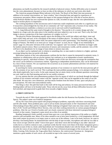phenomena can hardly be probed by the research methods of physical science. Further difficulties arise in research into the voice-phenomenon, because we have no idea of the substance in which our soul exists after death.

The American parapsychologist Rhine indicates in his book, The Reach of the Mind, that man possesses, in addition to his normal consciousness, an "inner window" that is breached time and again by experiences of extrasensory perception. Rhine compares the impact of this parapsychological fact with that of nuclear physics, while Professor Bender has now expressed the opinion in a talk, recorded on tape, that the voice-phenomenon is equal to nuclear physics in importance.

The working hypothesis of the unconscious and of relativism could complement each other in a significant way if researchers acknowledged the fact that all we commonly call "real" represents only a fraction of true reality. The voice-phenomenon establishes a relation to an extra-real or anti-real world of manifestations.

C. G. Jung followed the same trend of thought in his theories: "Our psyche is of a cosmic design and what happens on a large scale also takes place in the smallest and most subjective way in our soul. That is why the Godimage is always a projection of the inner experience of a mighty vis-à-vis."

The physicist Werner Heisenberg equally rejects the dividing of the world into subject and object, inner and outer world, body and soul, in his conception of the nature of modern physics. "In natural science," he states, "the object of research is no longer nature itself, but nature subjected to man's questioning." Das Naturbild, page 18; (The Image of Nature). The theme is no more just an "image of nature" as such, but an "image of our relationship to nature" page 21). Descartes' division of the world into "res-cogitans" and "res-extensa" is therefore no longer valid for modern natural science. Man is an interaction of sensory and extrasensory worlds, and the animistic view of life will have to be abandoned, for its image of man relates to sensory man only.

As an object can be explained only in relation to something else; so man stands in relation to a higher, spiritual, sovereign being that does not perish with death.

Meticulous analysis of the voice-phenomenon confirms the fact that it cannot be interpreted in animistic terms. It manifests in collaboration with our psyche (anima), but confronts us as an independent acoustic manifestation, exhibiting its specific, individual existence. The tangible results of this new discovery encourage the assumption that the voices can be defined as extrasensory entities. Appearing as independent manifestations, they can be determined by a host of basic features. We can experience the occurrence as an acoustic phenomenon and draw rich material for research from its content.

In searching for clarity concerning the ultimate questions of our existence we search for the most precious gift of all--the certainty of our soul's survival. This is perhaps the main problem parapsychology, in its attempt to define life after death empirically, has to solve. In the same measure that we attain clarity on the ultimate questions concerning our soul, shall we also find meaning and aim for our earthly existence.

It is my opinion that the voice-phenomenon produces facts by means of which we can break through the habitual confines of our existence and make contact with the "opposite world" that can be regarded as the center of our life after death. We step into a new dimension, and that means freedom from the fetters of time, space and physical preconceptions. We enter into transcendental reality.

One thing is clear--the path that leads to this truth will be long and arduous, for many preconceived ideas and thinking habits will have to be brushed aside. Those who do not shy away from all these difficulties however will feel enriched, and empowered to guide their lives towards a higher destiny.

#### **2. FIRST CONTACTS**

Towards the end of 1964 a book appeared in Stockholm under the title Rosterna fran Rymden (Voices from Space). The author's name was Friedrich Juergenson.

All my life I have been preoccupied with parapsychological problems, especially with those concerning death and life after death. These problems play a part in all my books and particularly in Der Chaosmensch und seine Uberwindung (Chaos-Man and his Conquest). Whilst studying in England I had come into close contact with men like G.N.M. Tyrrell and William Oliver Stevens, who were then working intensively on various parapsychological problems. After the war I lived in Sweden and I am closely connected with those interested in parapsychological research in that country. Jurgenson's name struck me as that of an outsider.

Reading Juergenson's book carefully several times gave me a very definite impression of the author as a highly sensitive and susceptible man. Many of his ideas seemed to me to have been formed by a vivid imagination; the kind that could conjure up pictures in an empty room or voices out of the stillness. Later in his book, however, he came to develop a fascinating theme: he maintained that with the help of tape-recorder, microphone and radio he was able to hear voices on tape which he called "voices from space"; that these voices did not belong to any other "physical" world, but to a world in contrast to ours, a spiritual world; that the voices were those of the dead. Juergenson gives a detailed account of this in a book called Sprechfunk mit Verstorbenen (Radio-Link with the Dead), 1967. He heard not only the voices of near relatives or friends, but also those of historical personages of the recent past, such as Hitler, Goering, Felix Kersten, the Yoga-author Boris Sacharow, the controversial Chessman etc. Juergenson mentions a great number of such voices--all recorded on tape in the course of several years.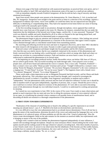Almost every page of the book confronted me with unanswered questions; no practical hints were given, and so I contacted the author in April 1965 and asked him to demonstrate some of his tapes to a small private audience.

I felt an immediate empathy towards Friedrich Juergenson: all that he told me had a ring of sincerity and deep emotional involvement.

Apart from myself, three people were present at the demonstration: Dr. Zenta Maurina, G. Sch. (a teacher) and Mrs. M. Juergenson. Juergenson went straight to the point and let us listen to a selection of his recordings. Against a background of ordinary tape noises, voices were audible; we could hear them, but our unpracticed ears had great difficulty in identifying or comprehending them. They had to be repeated several times before our sense of hearing could gear itself to the unusually quick rhythm.

At the first recording Juergenson made in our presence, through microphone, voices appeared that could not possibly have come from any of the people in the room. Dr. Maurina, for instance, remarked that she was under the impression that the inhabitants of the beyond were living a happy, carefree life. A voice answered: "Nonsense!" This word was distinctly audible and easily identified by all of us when we listened to the tape being played back, and there were other voices that could not be determined quite so unequivocally.

The phenomenon began to grip my attention and awakened all my explorer's instincts. After looking into several hypotheses and theories, I studied the phenomenon as a function of the unconscious; then again I tried to explain voices obtained through radio as coincidental sound-freaks from transmitting stations.

My searching and reflecting involved me more and more in Jurgenson's discovery, and in June 1965 I decided to do some research with Juergenson on his estate, Nysund, in order to gain some personal experience.

Renewed contact with Juergenson and deeper insight into his personality and his life's history confirmed my view that this man was utterly sincere; that he was completely immersed in the mystery of this phenomenon and firmly convinced that he was dealing with a world beyond--a world into which we merge after death and where we continue our activities in a transcendental existence. Faith and intuition can never harm a cause; for my part, I endeavored to understand the phenomenon in its factual sense.

In the beginning our recordings produced unclear, hardly discernible voices; not before 10th June at 9.30 p.m., did we achieve good results. This successful recording was made through radio. I have played it over to many people since, and all have heard and understood the voices it contains. First a voice calls: "Friedrich, Friedrich!"-- then a woman's voice says softly "Heute pa nakti" (German and Latvian: "Tonight") followed by a woman's voice asking "Kennt ihr Margaret, Konstantin?" (German: "Do you know Margaret, Konstantin?"); the voice continues in a singing tone: "Vi talu! Runa!" (Latvian: "We are far away! Speak!"). The fragment closes with a female voice: "Va a dormir! Margarete!" (French: "Go to sleep! Margarete!").

These words made a deep impression on me, as Margarete Petrautzki had died recently, and her illness and death had greatly affected me. This coincidence gave me much food for thought, and I resolved to investigate the phenomenon by myself; to isolate it, if possible, from Jurgenson's personality as medium and to make it "independent". Was the phenomenon really universal and free from all subjective influence? In that case it should be able to manifest itself on tape quite independently, regardless of persons, time, or space. Should this prove to be so, one would have to reckon with an objective existence of the phenomenon. If I were able to succeed in becoming aware of tile phenomenon through my own individual research, I would try to understand its working and penetrate its meaning.

So I started my own experiments in June 1965. In the course of five years I have made so many observations and gained so much experience that my main task now lies in sifting the enormous amount of voice-material collected on my tapes; in crystallizing the essential criteria common to all possible forms of manifestations heard, and in discarding all details not essential to a thorough comprehension of the phenomenon.

#### **3. FIRST STEPS TOWARDS EXPERIMENTS**

"Realization of the character of something seen or heard is the adding of a specific impression to an overall meaning one already knows", says A. F. Marfeld in his book on electrotechnics and electronics.

It is very difficult to trace the voice-phenomenon back to an already known denominator. First of all one has to grasp the nature of the manifestation, determine the pitch of the voices and understand the language they use; as the phenomenon is of a physical nature, all these problems are still this side of the "cloud of unknowing". How the voices create electromagnetic fields on the tape remains for the moment an unsolved riddle; but experimental work is bringing us nearer to the root of the problem.

To begin with I wanted to find out whether the phenomenon happened independently of outer influences. I started with recordings through microphone. Despite my most strenuous efforts I heard nothing but the words I had spoken myself and the rushing sound of the tape whenever I played a recording back. After three months of practice, at last I heard a male voice. In answer to my observation that the inhabitants of the beyond, just like earthly humans, probably have to contend with certain limitations, the voice said in Latvian: "Pareizi ta bus" ("That is right"). The voice keeps a definite, steady rhythm: "Pa- rei- zi- ta bus"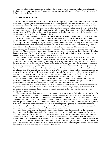I must stress here that although this was the first voice I heard, it was by no means the first to have imprinted itself on tape during my experiments. Later on, after repeated and careful listening-in, I could detect many voices I had not noticed in the beginning.

#### **(a) How the voices are heard**

Psycho-acoustic experts assume that the human ear can distinguish approximately 400,000 different sounds and therefore it always recognizes the difference between two sounds presented one after the other; but this is only a theoretical assumption. Research shows that most people are unable to distinguish more than seven levels of soundvolume and seven levels of pitch. During various listening-in tests, we made the interesting discovery that, to start with, the human ear either does not pick up the voices at all or distinguishes them only very slowly and vaguely. The ear must attune itself for quite a period before it can start to hear the phonemes. (A phoneme is the smallest unit of speech-sound that can be distinguished from another.)

All of us, with the exception of those who have a specially trained sense of hearing, hear only very superficially; but the sense of hearing is of the highest importance when it comes to discerning the voices. Musically trained people were able to follow the voices with much less trouble than others during tests. Professor Atis Teichmanis, of the College of Music in Freiburg (Breisgau, Germany), noticed immediately when listening-in that the voices differ in pitch and sound-volume from ordinary human voices. Despite his particularly acute sense of hearing, however, he could differentiate and understand the voices only with difficulty at first--because of the unaccustomed rhythm, pitch, intensity and strange mode of expression used, which make these voices sound so different from earthly human ones. After a time of diligent practice, when the ear has become attuned, we can find in these very deviations from the accustomed the clues to help us determine the structure of the voices. Voices may vary in sound-volume from whispering to fortissimo; their timbre is usually well defined.

Over four hundred people have taken part in listening-in tests, which have shown that each participant could become aware of the voices through the sense of hearing and could understand the speech content. At first, most people had difficulties, depended often only on feeling and guessing, and heard only vague noises; after a period of practice, however, the noises emerged as definite sound-shapes and meaningful sentences. Audibility of the voices, therefore, depends on practice, ability of the ear to distinguish, and the extent of undivided attention given whilst listening. The ear is the best voice-analyzer (apart from electrical measuring-techniques which allow us to measure the minutest time-differences); it is a masterpiece of nature, "for in the nerve-fibers, various electronic processes are connected in series, each of which lasts roughly 100 micro-seconds. With such slow-working elements as buildingmaterial, the electronics engineer could achieve such accuracy only with the greatest difficulty." A. F. Marfeld, Electrotechnik und Elektronik (Electrotechnics and Electronics)-Safari-Verlag, Berlin, 1965. p.725.

It is necessary to stress that the verification of the voices depends on repetition, and the ear cannot hear the voices without technical aids. Tape-recorder and microphone are as essential for the investigator of the voicephenomenon as microscope and telescope are for the natural scientist and the astronomer.

When we have detected a voice on tape we still have to identify and understand it. We start by determining what language it uses, and whilst the ear will not quickly differentiate unknown foreign languages, it can adapt itself to the mother-tongue or languages that are familiar to it much more easily. The voices are characterized by an unmistakable, polyglot speech.

After having determined the language(s), we try to grasp content and meaning. Only when we have analyzed the sentence in this way and found that it is composed of several languages and that the words add up to a sensible content, can we claim that the voice is paranormal. The extrasensory character of the voice phenomenon can only be determined by comparing its mode of expression with the rules and regulations of ordinary human speech. Everyday life, and speech in particular, is full of complicated noises composed of a multitude of varied frequency components. When such a noise spreads through the air one can treat each component separately, for the sound waves travel through the atmosphere without influencing each other. It is quite easy to determine, when listening to a tape, that the voices are in no way influenced by any other sources of human noise.

I would like to repeat here that the decisive factor in studying the voice-phenomenon is not the theoretical interpretation, not the philosophizing, but the empirical result, arrived at through experiment that can be verified under test conditions. The fact that the voices are audible to our ear and we can understand that speech, confirms that they exist physically and independently from us, and the experiments prove that the voices can be heard by anybody with a fair sense of hearing, regardless of his or her personal views, sympathy or antipathy. The voices are objective entities that can be verified and examined under psycho-acoustic, physical conditions. This concurrence of psycho-acoustic and paranormal data can hardly be brushed aside as mere coincidence; the voices must therefore be deemed to stem from a different plane of existence than our own.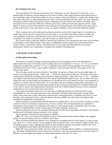#### **(b) Listening to the voices**

The main difficulty for effective research lies in the "listening-in" process. Because the ear has only a very limited range of frequency, and the language of the voices is tuned to more rapid frequencies than human speech, I have found that it takes at least three months for the ear to adjust itself to the difference: to begin with, though it may hear speech-like noises, it cannot differentiate the words--let alone understand what they mean. Of course, sharpness of hearing can differ widely from person to person: listening-in tests have shown that children and people with a musically trained ear have least difficulty in following the voices; military-trained radio operators achieve a high degree of accuracy, and for some unknown reason specialists of internal diseases and Catholic priests also seem to be able to discern the voices with relative success. To augment audibility, I have evolved the following method:

When a sentence that can be understood has been located, this section of the original tape is re-recorded on to another tape and this process is repeated at least five times. It is a procedure that makes it easier to analyze the voices phoneme by phoneme, and statements can be verified with greater certainty. It is for this reason that a recording of, for instance, ten minutes, may take ten hours to analyze and verify.

The concrete results of this new method of research give substance to the assertion that the voices can be defined as belonging to transcendental beings. They appear as independent acoustic shapes that can be determined by a number of basic, characteristic features. This means that we can recognize the phenomenon in its acoustic manifestation. Results vary considerably according to the method of recording used.

#### **4. METHODS OF RECORDING**

#### **(1) Microphone Recording**

The process of making recordings through microphone for the investigation of the voice-phenomenon is approximately the same as for ordinary tape-recording.' Speed can be adjusted to 3-3/4 i.p.s. or 7-1/2 i.p.s. Friedrich Juergenson considers that a speed of  $7-1/2$  i.p.s. is probably more suited to the fast speaking voices; but my own experiments show that 3-3/4 i.p.s. gives equally satisfactory results and quite often the voices appear to be even clearer at that speed.

When the tape-recorder has been switched to "recording", the person in charge of the session might begin, for instance, by simply giving the date: "Today is the ..." Unless the experimenter is alone, he can then give the names of participants. Should the investigator be by himself he might say perhaps: "Hello, hello, here is X.X.--- I should be very happy to know that the unseen friends are here and are manifesting through the tape." He can follow this up by calling the names of dead friends and acquaintances; he should feel free to say whatever he likes, to ask questions, to explain or to specify what he wishes to know. If, on the other hand, the recording is being made in the presence ·of several people, the conversation should be kept on general lines so that each participant can contribute whatever he or she wants to express. Recording sessions should not exceed ten to fifteen minutes, because, as I have explained, examination of voices received may take several hours.

I have found microphone-voices to be very soft, quick as lightning, and only too often drowned or made unintelligible by voices of people taking part in the experiment. I therefore advise participants to speak slowly, quietly, and to take time to pause; afterwards, when the tape is being played back, to pinpoint every hint of a voice precisely and to repeat that section, so that the utterance becomes audible, the contest clear and unequivocally verifiable and identifiable to the human ear.

Equally important is that participants should refrain from making noises, such as, for instance, murmurs of assent or dissent. Sincerity and honesty of purpose are, of course, essential. How the manifestations are explained or interpreted by those present is not important at this stage; it is most important that we should hear the voices and essentially comprehend them, in their various aspects of rhythm, language, content, etc.

Sincerity and honesty do not rule out logical thinking and criticism, but an atmosphere of harmony and discipline should prevail. Idle gossip during recordings is to be avoided.

The microphone voices fall into three classes of audibility:

**Class "A"** voices can be heard and identified by anyone with normal hearing and knowledge of the language spoken; no special training of the ear is needed to detect them.

There are several hundred microphone-voices amongst my recordings that fall into this group. It is easy to make tape copies of "A" voices, and they can be repeated as often as desired. Thus, I have analyzed roughly 25,000 voices according to speech content, language and rhythm. By this method of repetition, the acoustic reality of the voices can be established beyond doubt, and hallucinations of the ear are excluded.

**Class "B"** voices speak more rapidly and more softly, but are still quite plainly audible to a trained and attentive ear. The ability to differentiate increases with practice, but this is a slow and wearisome process. For this reason it is difficult to use non-regular participants for experimental purposes with class "B" voices.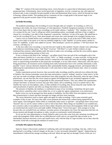**Class "C"** consists of the most interesting voices; voices that give us a great deal of information and much paranormal data. Unfortunately, these can be heard only in fragments, even by a trained ear, but with improved technical aids, it may eventually become possible to hear and demonstrate these voices, which lie beyond our range of hearing, without trouble. This grading and my comments are but a rough guide in the present stage of our approach to the psycho-acoustic aspect of the investigation.

#### **(2) Radio Recording**

The problems pertaining to the recording of voices through radio are complex. In recording, as well as in listening to the results, the sense of hearing is of vital importance. Friedrich Juergenson maintains in his book Voices from Space that no radio-voice recordings can be made without a "mediator". This "mediator voice" is that of a woman (in his case "Lena"), telling one which transmitting station, wavelength, and hour of day or night to choose for a recording. I was able to hear Jurgenson's mysterious "mediator" on one of his tapes. She asked him to wait for the recording till 9 p.m.; hints about people and events also came through in her strangely hissing voice.

I had to wait six months before such a mediator appeared on my tapes. It was at the end of 1965 when at last I heard a voice reply to my query as to who my mediator might be; it said "Spidola" (a Latvian name), spoken in Class "B" audibility. A male voice added in Latvian: "Mes dzirdejam. Latviesi tev palidzes." ("We have heard. The Latvians. will help you.")

At the next radio-voice recording--it was the first one I made by this method--I heard a female voice indicating a quite unknown transmitting station. "Sak' Peter!" (Latvian: "Tell Peter!"), it said. Further evidence on tape confirmed that someone called Spidola really did assist in radio-voice recordings, and that the voice-entities appear to have several transmitting stations of their own.

If one is relying on the help of the "mediator", one glides slowly from one end of the wavelength-scale to the other and listens carefully for a voice that will hiss "Now", or "Make recording!", or some such hint. At that precise moment one switches on the tape-recorder (which is connected to the radio) and starts the recording, regardless of music or speech being transmitted on that particular wavelength, or of any other noises. Afterwards, when the tape is being played back, all extraneous noises resulting from radio transmissions have to be carefully eliminated, so that possible "voices" (always distinctly marked by their unmistakable rhythm, language-mixture, and frequent habit of addressing the experimenters) may be discerned. I will come back to these special features later, when we examine speech-content.

Further experiments proved, however, that successful radio recordings could be achieved even without the help of Spidola. One chooses transmitter waves that meet and produce a typical "rushing" sound (or 'white noise'). In this way one can make recordings without interference from radio programs; but only afterwards, when the tape is being played back, can one hear how the voices stand out against the background of any incidental fragments of radiotransmissions. Once again they are recognizable by their paranormal features. They may address the experimenter and give him hints; or persons we know may give their names, tell us something, warn us or plead with us. But whether the voices are microphone, radio, or other methods of recording, they always keep the same rhythm, the same peculiarities of speech, and often say things that relate to extrasensory data.

The presence of Spidola, the mediator, is confirmed on many of my recordings. Sometimes she gives quite definite advice; sometimes other voices rebuke her, or try to make her appear unimportant, even unnecessary.

Radio-voices too can be grouped into three grades of audibility; but they differ from microphone-voices in that their pronunciation is clearer and their messages are longer and have more meaning.

The voices themselves tend to clamor again and again for radio-recordings. I have some extremely good examples of this on tape. We know that radio waves penetrate the human body without being registered by the sense-organs. Electromagnetic fields within us continually make music or speeches --and perhaps these voices from "beyond" also cry out for contact within us and we fail to hear them. Many things are inaudible to our unaided ears, but a sensitive radio or microphone receives these subtle vibrations and creates electromagnetic fields on tape which are transformed into sound waves and made audible. Perhaps these "voices from space" seem strange to us only because they are excluded from our ordinary, everyday powers of perception, but I have the impression that they are always present and through microphone or radio, can give us enormously varied information.

So we see the voice-phenomenon is closely linked to radio waves that come from afar, penetrate everything and create electromagnetic fields within the so-called physical world, and we can regard the tape-recorder as an intermediary between electronic waves and sound-waves; only with the help of a tape-recorder can we hear what the electronic world tells us through the medium of sound-waves.

#### **(3) Radio-Microphone Recording**

Quite by chance I discovered a method of combining radio and microphone recordings. One day, whilst I was playing back a recording, I noticed changes on the tape. A voice incessantly demanded "signals". Suppressing my astonishment I followed this strange recording to the end. When the tape had run through I fixed a fresh one, as I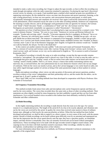intended to make a radio-voice recording, but I forgot to adjust the tape-recorder, so that in effect the recording was made through microphone while the radio connection remained in operation. On playing the tape back I discovered several voices; by mistake, so to speak, I had stumbled upon a method which opened up quite new possibilities of registering conversation. By this method the voices can enter into discussions and answer questions, listening, as the tape is being played back, we hear our own queries, and conversations between participants, to which quite exceptionally meaningful answers and comments are received. Once again I noticed the characteristic peculiarities of the phenomenon, which remained exactly the same as in the other recording methods. Sentences are compressed, the meaning is usually obscure, and in all languages used grammatical rules are ignored; for instance, the German word "binde" ("bind") becomes "bindu", a combination of "bind" and "du", the German word for "thou". Neologisms are particularly remarkable: our apparatus is called ''Dezentraten"--"decentrators".

My question as to how it had been known that I was playing back a tape was answered by a woman's voice: "Wir waren in deinem Zimmer." German: "We were in your room." Sentences in Latvian and Russian followed, for example: "Izradas tads nevizigs, nebo!"--literally, "It becomes apparent that he is negligent, oh Heaven!" but as we might say "Heavens, he's obviously been careless!" The next sentence is striking: "Jundahl kan ga sjalv,--oh veca pott! Bindu han an de(m) mort-bed!" The sentence is composed of five languages: Jundahl--a name; kan ga sjalv-Swedish: veca--Latvian; pott-North German dialect or Swedish; bindu--modified German; ban--Swedish; an de(m) - -German; mort--Latin or one of the Romance languages; bed--English. In English the sentence would run: "Jundahl can walk by himself, the old pot. Tie him to the death-bed."

In this context yet another sentence became audible: "Lido ernst nach ziami auf Konstant! Konstantin, Alex." This is a mixture of Latvian and German words: lido--Latvian: flying; ernst-German= serious; nach--German: to; ziami-Latvian: earth; auf-German: on (or: to); can be understood in English as: "Fly in earnest to earth to Konstant! Konstantin, Alex!"

The method of recording is virtually the same as in radio recordings, except that the tape-recorder remains switched to "microphone"; the microphone itself is placed very close to the radio. It is best to tune the radio--set to a wavelength that gives only the "rushing" sound, so that no noises from radio stations can be heard and even the "rushing" sound is hardly audible. There is, of course, always a chance that earthly transmitting stations may intervene, but, as stressed before, the voice phenomenon has its own distinctive features which rule out any danger of confusion. With me the voices use mostly Latvian, and as the Latvian language is very rarely heard on radio, one may safely regard messages spoken in Latvian as being of the same paranormal origin as those spoken in various languages.

Radio-microphone-recordings, where voices can take up points of discussion and answer questions, produce excellent evidence of the voices' independence and their partnership with us, and the results like the others, can be grouped into A, B and C grades of audibility.

Since April 1968, two new recording methods have been developed in cooperation with Physics Professor Alex Schneider of Switzerland:

#### **(4) Frequency-Transmitter Recording**

This method excludes freak noises from radio and microphone only carrier-frequencies operate and these are used by the voice-entities. The voices thus recorded show the same traits as those of other recording methods. Their statements are often slightly overlaid by sinus-frequencies, but their audibility is good and they are free from other interferences. Up to several hundred voices recorded in this fashion have been definitely verified by Professor Schneider and other collaborators.

#### **(5) Diode Recording**

In this highly interesting method, the recording is made directly from the room on to the tape. For various reasons it is a complicated process. The length of the aerial (6-8 cm.) has to be exactly adjusted, and vibrations sent out by the voices are received by this aerial. In quality the voices thus received come nearest to those of ordinary human ones, although we find exactly the same peculiarities as before. When this last method has been further developed and perfected, we shall be able to regard it as a direct contact, in every sense of the word, with the unseen entities. Results of diode-recordings can be heard without great difficulty even by an untrained and unprepared ear. One has the impression that the voices speak directly onto the tape; they have a spaceless quality, an immediate impact, and their diction is remarkably clear; they are instantly received and can be heard without atmospheric interferences. These recordings have to be made with the tape-recorder turned to highest sound-volume. (The copying too has to be done with both machines turned to maximum. Other recordings, whether by radio or microphone, would produce ear-splitting noises at that volume.)

For more information about these latest two methods, see Professor Schneider's technical commentary in the appendix of the original book.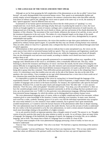#### **5. THE LANGUAGE OF THE VOICES AND HOW THEY SPEAK**

Although we are far from grasping the full complexities of the phenomenon as yet, the so-called "voices from beyond", are easily distinguishable from terrestrial human voices. They speak in an unmistakable rhythm and usually employ several languages in a single sentence; the sentence construction obeys rules that differ radically from those of ordinary speech and, although the voices seem to speak in the same way as we do, the anatomy of their "speech-apparatus" must be different from our own.

Examination of our human speech-mechanism has shown that the whole process of "speaking" is a very complicated one; vocal chords, glottis and lungs all play their part. In producing the sound of a voice, the vocal chords are brought together by a system of rotatory cartilages and a complicated interaction of small muscles; air, being pressed out of the lungs, causes the vocal chords to vibrate, and size and tension of the chords determine the frequency of this vibration. The movement of the vocal chords, influences the stream of air and this, in turn, sets off the resonance-frequencies in the oral cavity. The timbre of a voice depends largely on the shape of the mouth. Voices are usually unique and everybody possesses, so to speak, his or her own voice, distinguished by its special, unmistakable tone-quality.

Apart from their paranormal characteristics, the voices that manifest on tape show great similarities to those produced by ordinary human speech organs. It is possible that they may use already existing human voice material. They are softer, (those in Class B or C generally only a whisper) but they do seem to be produced through some kind of speech-apparatus.

Differentiations in their speech pattern also seem to indicate that in some unexplained way, the voices use the same sources from which we terrestrial humans build our speech. They use continuous and fragmentary sounds just as we do. The continuous sounds are characteristically drawn out, whilst the fragmentary ones break off abruptly. One can also distinguish vocal and non-vocal sounds, according to whether vocal chords have been in action to produce them or not.

The words made audible on tape are generally pronounced in an unmistakably uniform way, regardless of the language used. Identification of the voices is, nevertheless, often a remarkably difficult task. One may, whilst listening-in, discern the resonance and frequency of voices--one hears the sounds, but the sense of hearing has the utmost difficulty in recognizing them as words; only after intensive and concentrated listening does a tangible word emerge. Some of my collaborators often heard definite resonance-frequencies over quite a period of time, without being able to grasp what they contained. These difficulties pertain particularly of course to the whispering Class C voices. It is interesting to note that troubles arise not only on the side of the listener, but also on the side of the speakers--the voice-entities. I have examples on my tape which demonstrate how a voice tries to form words out of torn vibrations that sound like the humming of a bumble-bee.

It is impossible to explain the language of the voices by saying that it is formed through the language of the experimenter himself. The voices speak their own language--a kind of Esperanto, a single sentence often comprising a number of languages and cut down to the barest essentials. For instance, the experimenter calls upon his deceased collaborator, Professor Frei, to state his name clearly and unequivocally from "the other side". A voice answers distinctly: "Frei! Du sova, willst nicht glaube!" (Swedish and German: "You sleep, you will not believe!"). Here we have the curtailed polyglot mode of expression repeated consistently in all the recordings that have produced voicetexts, up to the present time over 72,000. It is this particular voice-phenomenon-language, differing fundamentally from terrestrial human languages, by which the entities can be distinguished from ordinary human voices.

The voice-phenomenon-language must, of course, strike us as highly complicated and on first encounter, without comment given or some knowledge of the situation, it seems confusing, even senseless. In many cases, however, each word has a wider, symbolic meaning, given to it in such a way that the individual experimenter may recognize the voice-entity behind it; in a few instances I have added comments, but in general I have quite intentionally avoided interpretation, as I wanted to stress the factual character of the phenomenon rather than its deeper meaning. The voice-phenomenon must be allowed to speak to the reader directly. Facts are the servants of truth; to understand the new reality in the form presented to us by the voice phenomenon, we need a certain amount of preparation and much more knowledge relating to the possibility of a higher existence.

Let us ask ourselves briefly an important question: does a thought consist of words? The answer is: no. Thoughts consist of psychic particles that stand in the same relation to reality as words. As we all know, there are many forms of language: the language of the battlefield, the language of reports, the language of everyday life, an ex-cathedralanguage, and so forth. This means that to think of a language form is to think of a form of life.

I will give some examples of the voice-phenomenon language portraying a form of reality we have not yet learned to understand:

"Eine no Tote," German and English: "One who is not dead." We find here a rigorous shortening of the sentence construction.

"Rant te pustjak," Latvian and Russian: "Rant does not have any importance here." This we may understand to mean that values are different in the spiritual world; even Rant does not have any special importance there.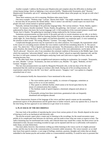Another example: I address the Russian poet Majakowskij and complain about the difficulties in dealing with certain human beings. Quick as lightning a voice answers briefly: "Majakowskij! Konstantin, pluj!" Russian: " Majakowskij! Konstantin, spit on it!" meaning that I should not bother about what people say, but get on with what I think is right.

These short sentences are rich in meaning. Briefness takes many forms.

One more example: "Nedoma zirgi;" Latvian: "Horses don't think." One might complete the sentence by adding: "... because they do not possess the mental ability." Here it seems I am told that I cannot expect too much from people who lack certain mental or spiritual qualities.

Naturally, intimate knowledge of the particular language helps. The Latvian sentence: "Koste, Slankis, sapulci- vaciete", for instance, literally translated: "Koste, Slankis, the gathering --the German", can only be properly understood by those who know the Latvian language well. A full translation of this truncated sentence would read: "Koste, here is Slankis. The gathering (or meeting) is being conducted by the German woman."

Sometimes pronouncements are kept strictly to the point and refer to current situations on our side, or on theirs. Once, reporters of the newspaper Bild am Sonntag (Sunday Pictorial) visited me, remaining in the studio almost the whole night. Dr. Zenta Maurina, whose night's rest had been disturbed, was somewhat upset. A voice summed up the situation in three words: "Du zornig, Maurina." German: "You angry, Maurina."

Complicated thought processes may be expressed in very short sentences. For example, the experimenter asked in the course of a recording session whether the voice entities could tell him something about Dr. X. The answer came: "Ko, dativo bes." This is Spanish and Russian and means: "Ko (Konstantin,), dative-devil." In the light of the given situation, this means that Dr. X. in his capacity of examiner of the voice-phenomenon, can be taken as the "devil's advocate". However, only if one remembers the scholastic tradition of discussion in the Middle Ages--from which the expression "advocatus diaboli" stems--in which the "dative" played an especially important role, and the fact that it is still quite common for philologists analyzing Greek and Latin texts to argue for hours, does the meaning become clear.

On the other hand, there are quite straightforward utterances needing no explanation, for example: "Konstantin, tev netic, Munthe." Latvian: "Konstantin, one does not believe you, Munthe." Or, again, "Bedenke, ich bin!" German: "Imagine, I am!"

This last clear pronouncement was made by Margarete Petrautzki who, in the last days of her life, had maintained that she could not envisage an existence after death. During one of his recording sessions, the experimenter asked her how she felt "over there", and the answer--"Imagine, I am!"-was spoken in a happily astonished tone of voice.

I will summarize briefly the characteristics I have mentioned in this section:

1. The voice-entities speak very rapidly, in a mixture of languages, sometimes as many as five or six in one sentence.

2. They speak in a definite rhythm, which seems to be forced upon them by the means of communication they employ.

3. The rhythmic mode of speech imposes a shortened, telegram-style phrase or sentence.

4. Presumably arising from these restrictions, grammatical rules are frequently abandoned and neologisms abound.

These characteristic features of the language of the voices and their speech content are the outstanding paranormal aspects of the phenomenon and the guide-lines to further research, and in my opinion this is, at least for the time being, the best approach in our endeavors to get closer to its essence.

#### **6. PLAY-BACK OF THE RECORDINGS**

One may look at the problem of reproducing the voices from various points of view. Results depend on the sense of hearing as well as on mechanical and electronic aids.

The psycho-acoustic aspect plays a major part in listening to the recordings, for the sound encounters many pitfalls on its complicated route between ear and brain, and one tends to hear what one wants or expects to hear. The radio's humming may be transformed into words, and a blurred shout may sound like a name, but these errors can be eliminated in time, because everything recorded on tape can be repeated until the ear is sufficiently well-trained to make sharp, accurate distinctions.

One must admit, however, that emotions welling up whilst listening to the voices can be of a highly personal nature, and this may be due to the communication of extremely subtle sensations. The voices transmit--as we shall later learn from speech-contents--a vast range of feelings, emotions, passions, thoughts and wishes that are deeply embedded in the human psyche and awaken within us a transcendental sensibility. It would be naive to presume that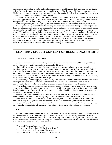such complex interrelations could be explained through simple physical formulae. Each individual may react quite differently when listening to the voices, according to his or her thinking-habits or ethical and religious concepts. Whilst listening-in one should try, as far as is possible, not to be emotionally affected by what one hears and to keep one's feelings, thoughts and wishes well under control.

Gradually, the ear adapts itself to the voices and their various individual characteristics. We realize that each one has its own typical voice-quality, and these qualities help us greatly when it comes to identifying individual voices. With practice it becomes possible to guess at the type of personality hidden behind a particular voice.

As recordings vary a great deal in quality and the experimenters are still unsure of their ground, many voices reach us only in a heavily distorted form. A voice may lose its characteristic quality through the recording process. Radio-recordings are particularly prone to such distortions, caused mainly by music, speech or insufficiently strong transmitting beams, and in such cases it is impossible to recognize the voice either by its timbre or its speechcontent. The problem we have to deal with here is the technical one of how to improve recording methods in such a way as to perfect the audibility of a voice and retain its original timbre. The technical aids currently at our disposal allow no more than a partial, often faulty, reproduction of the voices, although quality has been substantially improved by the diode method of recording, and the repeated copying of the audible voices on tape is a further improvement, as it helps the ear to distinguish words phoneme by phoneme (smallest sound-unit). A voice thus recorded can be measured by technical apparatus in the same way as a human voice.

# **CHAPTER 2 SPEECH-CONTENT OF RECORDINGS** (Excerpts)

#### **1. INDIVIDUAL MANIFESTATIONS**

Out of the abundant recorded material, my collaborators and I have analyzed over 25,000 voices, and I have made a selection of voice texts divided into categories for this book.

I do not wish to give the impression, through the voice-texts selected, that I am bent on any particular hypothesis, interpretation or explanation. Quite simply, I want to report on the physical-acoustic aspect of what I have heard; for only on the basis of concrete experience can we come to understand the nature of the phenomenon. In the long run it will not, of course, be enough to admit the reality of the voices and just leave it at that. Their statements have a much deeper significance than we might suspect on hearing them for the first time, but a too hasty interpretation may only hinder research at this stage.

Whilst reading the following pages, I would like my readers to keep in mind that the existence of a phenomenon bearing characteristics of the paranormal has been established beyond a shadow of doubt. That being so, conventional methods of evaluation according to our own preconceptions cannot be rigidly applied.

When we find incoherent ejaculations, and sometimes phrases consisting of words which do not seem to make sense, the natural impulse to dismiss them as unworthy of consideration should be resisted, for we are dealing with facts (including the fact that research is as yet in its infancy), and we should be willing to await, and to seek for, the revelation of their true significance.

From the speech-content of the texts, it seems that "dead" persons are trying to make contact with the "living", from a world hidden from our conscious perception, that has hitherto remained inaccessible to us.

There are those who will find this a new and difficult conception, but I would remind them that much they encounter in daily life only makes sense because of the previous knowledge brought to its contemplation; for example, a political cartoon is meaningless to a small child or to a primitive tribesman. The phenomenon opens up new vistas of a transcendental existence, and we should study it with unprejudiced interest and sympathy.

#### **a) Mother**

Amongst roughly 72,000 audible voices the 'mother-motive' is statistically the most frequent. My mother appears in manifold forms and uses various languages, including some she did not know during her lifetime; Spanish, Swedish and German, for instance; but most of all she uses Latgalian, the dialect of Latgale, and a Latvian province. Usually she addresses me directly and personally, but sometimes other entities report her presence, introduce her or give some messages regarding her. A female voice:

"Tava mate!" (Latvian: "Your mother!")

<sup>&</sup>quot;Mote te atrudas. Tekla." (Latg: "Mother is here. Tekla.")

At times she uses very tender terms in addressing me:

<sup>&</sup>quot;Kostulit, ta tove mbte." (Latg: "Kostulit, this is your mother.")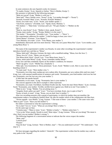In some sentences she uses Spanish words, for instance:

"Te madre, Kostja." (Latv, Spanish or Italian: "Here is Mother, Kostja.")

Her presence is indicated by the following messages:

"Mote tevi pavad" (Latg: "Mother is with you.")

"Moti laid!" Then a female voice: "Kosta!" (Latg: "Let mother through!"—"Kosta!")

"Kostulit, Kostulit! Mate" (Latv: "Kostulit, Kostulit! Motherl")

"Koste, tava mate runa." (Latv: "Koste, your mother speaks.")

"Tala Kosti, mamucis." (Swedish, Latv: "Speak, Kosti, Mummy.")

"Wir danken."—"Mate lente." (German and Latv: "We give thanks."—"Mother on the tape.")

"Mate te, runa Kosta!" (Latv: "Mother is here, speak, Kosta!")

"Kostja, mote ustoba." (Lettg: "Kostja, Mother is in the room.")

"Din moder."-"Krustmeita." (Swedish, Latv: "Your mother."—"Niece".)

The experimenter addresses his mother: "I shall be happy to hear your voice."

"Deine Mama!" (German: "Your Mama!")

"Tava Mamma, tava mate." (Latv: "Your Mama, your mother.")

Immediately afterwards and even more directly: "Mati mil, tavu jauno Mona Roz" (Latv: "Love mother, your young Mona Rosa'.")

The name of the experimenter's mother was Rosalia. In some other recordings the experimenter's mother introduces herself now and then as "Mona".

"Mona, Ijubi judi!" (Russian, German; the latter with a modified ending: "Mona, love the Jews.") "Mona, tuva tu!" (Latv: "Mona, you are near!")

"Din Mona dzird, dzird." (Swed, Latv: "Your Mona hears, hears.")

"Kosta, atmin mote Mona!" (Latg: "Kosta, remember mother Mona'"

Every now and then somebody reports on the mother's condition; for instance:

"Matei sip galva." (Latv: "Mother has a headache.")

"Mite sjuk. Tava krustmeita te. Deras pensionats." (Latv, Swed: "Mother is sick. Here is your niece. Her boarding-school,")

"Te mate raud." (Latv: "Here mother cries.")

"Konstantin, tova loba mate raudaja par savu zuduso delu. Konstantin, par savu zuduso delu rand tava mate." (Latg, Latv, with unusual modifications of sentence and words: "Konstantin, your kind mother cried over her lost son. Konstantin, over her lost son cries your mother.")

A little later she speaks herself:

"Konstantin, te tava mate." (Latg: "Konstantin, here is your mother.")

The concern apparent in the above example is often expressed:

"Konstantin, tava mate. Furchtbare, furchtbare Krafte mot dej. Turies bei mej! Deine Mutter." (Latv, German, Swed: "Konstantin, your mother. Terrible, terrible forces against you. Hold on to me! Your mother.")

"Mote tu nici." (Latg: "Mother. You are pining away.")

"Aizgulej, Kosti, paliec par spiti!" (Latv: "You have overslept, Kosti, stay in spite of that!")

"Kosta, tu kurls, te mote". (Latg: "Kosta, you are deaf, here is mother.")

After two recording-sessions with a group of participants, in which his mother does not manifest, the

experimenter makes a recording by himself alone. He asks his mother which of the collaborators she likes best. "Nivins napatik—tava Mutter." (Latg, German: "I like none of them—your mother.") The same voice asks:

"Miiti tu juti?" (Latv: "Have you felt mother?")

His father is interested in what the experimenter is doing:

"Ko tu dari? Tavs te." (Latv: "What are you doing? Here is father.")

On the same tape we hear.

"Vientula mate."-"Mate te vieno." (Latv: "Mother is lonely."—"Mother unites here.")

"A ko tu dor? Klars monds. Neredz tu moti? Mote stipra." (Latg, German: "What are you doing? The moon is clear. Don't you see mother? Mother is strong.")

The following fragment of a conversation seems to indicate that the voices respect the mother:

"Mote, stoj!"

"Lettisch prut?

"Prutam".

"Kop tik iksa!" (Latg, German: "Here is Mother, stop!"—"Do you understand Latvian?" "We understand—"Just step in.")

We hear messages regarding the mother's "domicile". The experimenter wishes that his mother may walk on easy paths in the" beyond".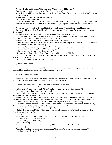A voice: "Danke, palidzes man." (German, Latv: "Thank you, it will help me.")

Experimenter: "I am very close to you. Where do you live now ?"

Voice: Es te dzivoj Nonsburde. Bade amico sind, Kosti. (Latv, Swed, Germ: "I live here in Nonsburde. We two are friends, Kosti.")

At a different occasion the experimenter asks again:

"Mother, where do you live now?"

Voice: "Es dzivoju Niapoli."—I"Tu Mutter hjalpi." (Latv, Germ, Swed: "I live in Niapoli."—"You help mother." The experimenter says he is convinced that her strength is growing through her spiritual nourishment and environment.

A voice answers: "Vi skall hoff, Kost. Mutti, Ko." (Swed, Germ: "We shall hope, Kost. Mummy, Ko.") She, on her side, asks: "Bist Du zufrieden?"—"Mama, Konstantin." (German: "Are you content?"—"Mama, Konstantin.")

The following sentence is particularly interesting from a language point of view:

"Raudive, taure, nabaga matj. Rau—tut aber nichts. In der Kirche sleep!" (Latv, Russ, Germ, Engl: "Raudive, blow, poor mother. Rau-, but it doesn't matter. In the church sleep!")

The following voices show a very definite relationship to the experimenter:

"Nevaru dziedat tev, mans milais. Tava maza mate." (Latv: "I cannot sing for you, my dear. Your little mother.") "Mate tencina." (Latv: "Mother thanks.")

"Pagaidi te, Kosti. Mutti seviski mili!" (Latv, Germ : "Linger here, Kosti. Love mother particularly.")

"Mote. Ich liebe Dich." (Latg, Germ: "Mother. I love you.")

"Mile, Kosta, moti!" (Latg: "Love, Kosta, mother!")

"Neatkapies tik lieluma! Mote!" (Latg: "Don't give in in big things only! Mother.")

"Koste, te mote, laba diena, Mes warten, Kosti, tagadne." (Latg, Germ: "Koste, here is Mother, good day. We wait, Kosti, in the present.")

"Mate—prima norma." (Latv: "Mother—the first norm.")

#### **j) Writers and Artists**

Many writers who had been friends of the experimenter manifested on tape; but the phenomenon also produced names of long-dead writers whom the experimenter had never met.

#### **(a) Latvian writers and poets:**

The first of these voices was Albert Sprudzs, a close friend of the experimenter, who was killed in a bombingraid in 1944. The experimenter calls on him and a rhythmic voice answers:

"Pateicas Sprudzs no sirds." (Latv: " Sprudzs thanks with all his heart!")

Other voices followed intermittently:

"Albert te stav." (Latv: "Here stands Albert.") "Albert Sprudzs te." (Latv: "Here is Albert.")

Once again the experimenter addresses his friend.

"Golva! Golvas nav! Konstantin, Konstantin, esmu ar tevi vienmer." (Latg, Latv: "Head! No head! Konstantin, Konstantin, I am always with you.")

The statement "no head" may refer to the fact that A.S. had been blown to pieces by the bomb; this ghastly experience may have had emotional repercussions after death which A.S. had not been able to overcome as yet.

"Albert Sprudzs, glabies ewigi du!" (Latv, Germ: "Albert Sprudzs, save yourself for eternity!")

"Alberts te. L'homme nesteidz!" (Latv, French: "Albert is here. The man doesn't make haste.") "Albert! Hei, Kritiki! Tu te nevar drukaties!" (Latv: "Albert! Hallo, critic! Here you can't print.")

"Es pa venti Kosti." (Latv, Swed: "I am waiting for Kosti.")

"Kadreiz dzimtene tik mil." (Latv: "Sometimes only the native country loves.") "Kosti, kontakts tu!" (Latv: "Kosti, you are the contact!")

"Raudiv', Sprudzs."

The second name to be called by the experimenter is that of Janis Akuraters who died in 1937.

"Lauj mieru!" (Latv: "Grant me my peace!")

"Labak gulet!" (Latv: "Better sleepl")

"Miers!" (Latv: "Quiet!")

The experimenter asks Janis Poruks (died 1911): "What are you doing, Janis Poruks?"

"Ich denke." (Germ: "I think.")

At another recording-session the experimenter asks: "You think. What are you thinking, dear poet?" "Muzibu." (Latv: "Of eternity.")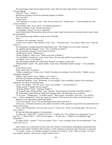The experimenter states that he regards Poruk's poem "Near thy white, high window" as the best lyrical poem in Latvian language.

"Pateicos!" (Latv: "I thank!")

During one recording, we hear the following sequence of phrases :

"Ka tu pari tiki?"

"Poruku Janis"

"Tava skaistule. Te tu majas." (Latv: "How did you come over?—Poruku Janis."—"Your beautiful one. Here you are at home.")

"Esmu Poruks, dyrt!" (Latv, Swed: "I am Poruks expensive!")

"Poruks vientulais!" (Latv: "Poruks the solitary.")

"Vi koordinati." (Swed: "We are co-ordinated."

Karlis Skalbe (died 1945) manifests often and very clearly; right from the start he indicates that he wants to help the experimenter.

The experimenter begs Skalbe to speak to him, if possible.

"Kon…"

A woman's voice interrupts: "Nevari!"

A man's voice counters: "Nem bomani!" (Latv: "Kon…" Woman's voice: "You cannot!" Man's voice: "Take the toll-bar.")

At a subsequent recording-session the experimenter says: "Dear Skalbe, you were ready to help me."

"Ja, palidzesu manam draugam." (Latv: "Yes, I will help my friend.")

The experimenter expresses a wish to hear his friends.

"Skalbe hort.)' (Germ: "Skalbe hears.")

"Pomini, Skalbe te." (Russ, Latv: "Think of me, here is Skalbe.")

"Tev tik Skalbe! Van tatad tot." (Latv, Swed, Germ: "For you only Skalbe! So the friend is dead.")

"As Skalbe." (Latv: "I am Skalbe.")

The experimenter addresses his friend in the "beyond". In response a male voice:

"Piemini Skalbi. Vesna!" "Wy pomni Skalbe." (Latv, Russ: "Remember Skalbe. Spring!"—"You remember Skalbe.")

A very distinct voice:

"Bau! Autori raida. Tu nemirsi."

"Skalbe, tu skapi karto?" (Germ, Latv: "Build! The authors are sending. You will not die."-"Skalbe, are you tidying the cupboard?")

"Skalbe—mili Latviju!" (Latv: "Skalbe—love Latvia.")

After the experimenter had addressed Skalbe, a voice says:

"Konstantin nepietiek." (Latv: "Konstantin, it is not enough.") This is probably a pointer to the restrictions imposed by our means of communication.

"Kosti, varu. Skalbe." "Tici tu?" (Latv: "Kosti, I can. Skalbe."—"Do you believe?")

"Skalbe, gulesi!" ("Skalbe, will you sleepl")

"Achtung, Skalbe!" (Germ: "Attention, Skalbe!")

"Te la guarde lepna. Piemin Skalbe!" (Latv, Spanish: "Here the guard is manifold. Remember Skalbe.")

The experimenter again addresses Skalbe and, amongst others, the following voices are heard:

"Tu te vivaci." "Juergensonu!" "Te mirklis skaitas." "Mes Latvijai. Te masinas." (Latv Ital.: "You will live

here."—"Please, Juergensonl"-"Here one counts the moment."-"We are for Latvia. Here are the little sisters.") Response to the experimenter addressing Skalbe:

"To no naves dzirdi." (Latv: "You are hearing from the realm of the dead.")

Vilis Lacis, a well-known Soviet-Latvian author who died in 1965, appeared on tape before the experimenter had heard of his passing.

"Kosti, unser Wiedersehen. Vila Lacis dels. Lacis te." (Germ, Latv: "Kosti, our meeting again. Vila Lacis' son. Lacis is here.")

We hear the following segment of a conversation:

"Es ludzu rili." "Kadu Vili?" "Liedzeju Vili Laci." "Es gribu Vili." "Ko tu Pjapa! Guni, Konstantin!" (Latv: "I beg Vilis."—"Which Vilis?"—"Vilis Laci the negator."—"I want Vilis."—"What are you babbling! Light, Konstantin!")

"Es lupata, Kosti,—saproti?" "Vilis Lacis patiesi." (Latv: "I am a scoundrel, Kosti, do you understand?" "I am really Vilis Lacis.")

Janis Veselis was a well-known Latvian writer and a friend of Zenta Maurina, although the experimenter had known him only briefly. He died in 1962. We hear a whole collection of satements either from him, or about him:

"Te Veselis—Zentai—tev! Raudive, Raudive, ko raksta tie? Veselis te." (Latv: "Here is Veselis—for Zenta you! Raudive, Raudive, what are you writing? Veselis is here.")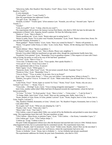"Sdravstvuj, hallo, Herr Raudive! Herr Raudive, Vesel!" (Russ, Germ: "Good day, hallo, Mr. Raudive! Mr. Raudive, Vesel!")

A voice demands:

"Veseli gribu!" (Latv: "I want Veselis!")

After the experimenter has addressed Veselis:

"Tas gull" (Latv: "He sleeps.")

"Kostulit, tu teiksi!" "Veselis spirit." (First sentence Latv: "Kostulit, you will say."-Second Latin: "Spirit of Veselis.")

"Veselis!"

"Gulu, ko tu gribi?" (Latv: "I sleep, what do you want?")

The experimenter did not know the famous Latvian Poet Rainis, who died in 1929, but later he did make the acquaintance of Rainis' wife, Aspazija, herself a poetess. We hear the following voices:

"Rainis te." (Latv: "Here is Rainis.")

"Rainis pusdienoj mit." (Latv, Germ: "Rainis takes part in eating lunch.")

"Rainis te under, Kosta. Vai tu redzi vinu? Kaudzit, Konstantin." (Latv, Swed: "Rainis is down here, Kosta. Do you see him? Kaudzit, Konstantin.")

"Raini gaidijat?" "Rainis fordera." (Latv, Germ: "Have you waited for Rainis?"—"Rainis will promote.")

"Rainis. Visi gaisie! Lieber Kosta, te vidno." (Latv, Germ, Russ: "Rainis. All the shining ones! Dear Kosta, here one sees.")

"Rainis dobrata." (Russ: "Rainis is goodness.")

"Te Rainis! Gaidi, tu sabris." (Latv: "Here is Rainis. Please wait, neighbour.")

Edvards Virza (died 1940) has manifested on tape quite often, though the experimenter hardly knew him.

"Kundziski Virzu piemin!" (Latv: "Remember Virza in grandiose manner.") This request is in tune with Vima's style of living: his poetry as well as his way of life had been "grandiose".

"Te Virza." (Latv: "Here is Virza.")

"Virza runa. Te Raudive runa." (Latv: "Virza speaks. Here speaks Raudive.")

"Virza pat te!" (Latv: "Even Virza is here.")

The experimenter talks to Virza. In answer:

"Balts Cigans." (Latv: "White gypsy.")

"Nemocies, Kosti. Tulko Virzu!" (Latv: "Do not torture yourself, Kostl, Translate Virza!")

"Piemin tu Vifza." (Latv: "Remember Virza.")

"Virza te, Kosta." "Virza, tu netiec! As tja sture. Kur te tas Kosta?"

(Latv, Latg: "Virza is here, Kosta."—"Virza, you can't follow. I am steering here. Where is Kosta?")

"Pulaties, veca galva! Virza te. Te Jerums vel." (Latv: "Make some effort, you old headl Here is Virza. Here is also Jerums.")

"Laila! Kosti, Virza!" "Koste, kapec tu vaciets? Es Virza." "Koste, Virza!" (Latv: "Koste, why are you a German? I am Virza." — "Koste, Virza.")

"Virzu tirda. —Wichtig!" (Latv, Germ: "Virza is being stringently interrogated." —"Important !") Janis Grins, another author (died 1966), had been ill-disposed towards the experimenter, whom he had not known personally.

"Te Grins." "Ir Grins." "Es Kosti pasiitu." (Latv: "Here is Grins." —"Grins exists." —"I ask for Kosti.")

"Te listiga. Hallo, Janis Grins!" (Latv, Swed: "Here are the cunning ones. Hallo, Janis Grins.")

"Koste, piedod, te Grins. Koste, te Grins, piedod. Latviesi!" (Latv: "Koste, forgive, here is Grins. Koste, here is Grins, forgive. Latvians!")

"Hej, Raudive! Piedodi, Konstantin, te Grins." (Swed, Latv: "Hi, Raudive! Forgive, Konstantin, here is Grins.") Caks (died 1950):

"Ko tu guli, Cak?" (Latv: "What are you sleeping for, Cak?")

"Pasaku, Caks." (Latv: "Fairy-tale, Caks!")

"Musu Caku!" (Latv: "Our Caks!")

Vilis Cedrins, a poet of repute (died 1946), was carried off by the Bolsheviks and perished in some slave-labour camp. The experimenter knew him well. The poet manifests on tape:

"Vilis Cedrins—Musu Kosta, es pieminu Cupos." (Latv: "Vilis Cedrins. —Our Kosta, I remember Cupos.") " Vilis Cedrins gul." (Latv: "Vilis Cedrins sleeps.")

"Cedrins tja." (Latg: "Cedrins is here.")

The poet Veldre disappeared without trace after the Russians had marched into Latvia in 1944. Nobody knows what happened to him, but it is presumed that he committed suicide. The experimenter knew him.

"Veldre ir. Raudiv, skal! Te nemirusie." (Latv, Swed: "Veldre exists. Raudiv, cheers! Here are the non-dead.") Zeibolts was a Latvvian author, not very well known, whom the experimenter had never met.

"Koste, te Zeitbolts." (Latv: "Koste, here is Zeitbolts.") —In fact Zeitbolts had already manifested.

The experimenter addresses his friend, the poet Janis Ziemelnieks, who died in 1933.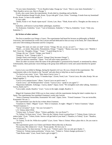"Te tavs Janis Ziemelnieks." "Te tev Raudive kalpo. Pazags tja." (Latv: "Here is your Janis Ziemelnieks." — "Here Raudive serves you. Here is Pazags.")

Kvalis, also a poet, knew the experimenter. Kvalis died in a bombing raid on Berlin.

"Veseli dzimtenes draugi! Kvalis, Koste. Tja pa vidu geh!" (Latv, Germ: "Greetings, fi·iends from my homeland! Kvalis, Koste. Co here in the middle.")

A voice adds:

"Denke, Koste ir vel. Nauda vipam mysli." (Germ, Latv, Russ: "Think, Koste still is. Thoughts are like money to him.")

Endzelins, well-known Latvian-Baltic philologist, manifests:

"Es Kokmuize. Endzelins." (Latv: "I am in Kokmuize. Endzelin.") "Tikai tu, Endzelins." (Latv: "Only you, Endzelins.")

#### **(b) Writers of other nations:**

The first to manifest was Ortega y Gassct. The experimenter had heard his lectures on philosophy at Madrid University, had translated his works into Latvian and had dedicated to him an essay in his book, *Der Chaos-Mensch und seine Uberwindung (Chaosman and his Conquest).* 

"Ortega. Wir sind, wir sind, wir sind!" (Germ: "Ortega. We are, we are, we are!")

"Madri..., yo siento. Man prieks. Pensamiento, Ortega." "Gigants." "Buena cosa man." (Span, Latv: "Madrid, I feel. I have joy. Thoughts, Ortega." "Giant." "A good thing for me.")

"Ortega, din van." (Swed: "Ortega, your friend.")

"Ortega te." (Latv: "Ortega is here.")

"Ortega! Partei wird Ortega!" (Germ: "Ortega! Party becomes Ortega!")

"Entro jas muchas cuestionas." (Span: "You will solve many questions.")

There are other occasions when the name of the philosopher is pronounced by himself, or mentioned by others. Unfortunately, these particular voices belong to the group most difficult to verify and cannot therefore be quoted here.

Garcia Lorca was killed in Malaga, during the Spanish civil war. He was a friend of the experimenter. The experimenter talks to his friends in the "beyond" and asks them to help him as much as possible.

"Te Garcia Lorca sture." (Latv· "Here steers Garcia Lorca.")

"Garcla Lorca. Sei ruhig, Kostja. Vi bundna kopa." (Germ, Swed, Latv: "Garcia Lorca. Be calm, Kostja. We are linked together.")

"Garcia Lorca putjom bystro." (Russ: "Garcia Lorca on quick route.")

"Garcla Lorca—auf Wiedersprechen!" (Germ: "Garcia Lorca—speak to you again!") "

"Reparemos hablando. Achtunga—Garcia, danke!" (Span, Germ: "We strengthen each other talking. Attention— Garcia, thank you!")

"Lorca nakti, sonakt, Raudive." (Latv: "Lorca in the night, tonight, Raudive.")

Miguel de Unamuno (died 1936) was in close contact with the experimenter during the latter's student days in Spain. The experimenter has translated Unamuno's works into Latvian.

"Amico Unamuno! Invencibles, Konstantin! Wir sind." (Span, Germ : "Friend Unamuno ! You are invincible; Konstantin! We are.")

The experimenter says that he has written about Unamuno.

"Unamuno te. Nakti—Miguel." (Latv: "Here is Unamuno. At night—Miguel.") "Amico Unamuno." (Span: "Friend Unamuno.")

"Vai tu Cervantes?" (Latv: "Are you Cervantes?")

L.N. Tolstoy (died 1910)

"Tolstoj, kum. Ty Kosta?" (Russ: "Tolstoi, godfather. Are you Kosta?")

"Te Tolstoj! Te Kosti slave." (Latv: "Here are the Tolstois. Kosti is praised here.") "Tolstoj, Koste. Golvu tev nokers beda." (Latv: "Tolstoi, Koste. Sorrow will get hold of your head.") "Raudive, te Tolstoj." (Latv: "Raudive, here is Tolstoi.")

"Te Tolstoj. Te tik Ort. Willst du te palikt?" (Latv, Germ: "Here is Tolstoi. What a place this is. Do you want to stay here?")

The experimenter greets Leo Tolstoi and Dimitri Mereschkovsky in Russian.

"Kosta runa. Mes milam tevi." (Latv: "Kosta speaks. We love you.")

"Tolstoj spirits. Var tikai tencinat." (Latin, Latv: "Tolstoi's spirit. One can only give thanks.")

"Tolstoj ist. Tolstojs maina profession." (Germ, Latv: "Tolstoi is. Tolstoi changes profession.")

"Tada flickes nakti." (Latv, Swed: Such a girl at night!")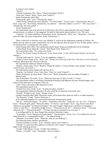A woman's voice replies:

"Tolstoi!"

"Tolstojs, Konstantin. Pisi." (Russ: "Tolstoi, Konstantin. Write!")

"Kosti, pisi, Tolstoj." (Russ: "Kosti, write, Tolstoi!")

Fjodor Dostojevsky (died 1881)

"Dostojewski, gulat." (Latv: "Dostojevsky, sleep.")

"Lieber Kostja, Dostojevsky muns admirals." "Te veins katolis." "Tas nav veins." "Dostojavskijs, dela cid." (Russ, Latg, Latv: "Dear Kostja, Dostojevsky, my admiral." —Here the Catholic is a dcvil."—"He is not a devil." —

"Dostojevsky, the cause suffers.")

"Kosti, Dostojevsky!"

The experimenter asks to be advised if he should go to the USA to make speeches and carry through demonstrations, as medium A. had suggested. He asks for information about medium A. too. The voice:

"Cepucha!—Tu malesi piektdiena. Kompromisa. Koste, Dostojevskii." (Russ, Latv: "Nonsense!—You shall paint on Friday. Do make compromises. Koste, Dostojevsky.")

There is relevance in what this voice says. Medium A. used to do her mediumistic painting on Fridays. We further hear the advice to make compromises, not to be too rigorous about the point of view of other people. And we are informed that it is Dostojevsky who speaks.

Fjodor Stepun (died 1965). The experimenter greets Fjodor Stepun and thanks him for his friendship.

"Lieber Raudi, Kosti, danke dir." (Germ: "Dear Raudi, Kosti, thank you.")

The experimenter adds: "Try to help your friend."

"Nevaru. Na, boman! Kostja, du borja nur." (Latv, Swed, Germ: "I can't. Well, barrier! KostJa, you are only starting.")

"Nachste Liebe sage dir." (Germ: "Love thy neighbour, I tellyou.")

"Kostja ty? Kosti, braue pa Izi." (Russ, Latv: "Kostja, you? Kosti, go on the Isar.") The Isar is a river in Bavaria, Germany. Meaning of this sentence is obscure.

The experimenter addresses himself to Stepun.

"Raudive, tematu main." (Latv: "Raudive, change the subject.") "Grusse Dichter, mans draugs!" (Germ, Latv: "Greet the poet, my friend!")

The experimenter greets Stepun and asks how he is.

"Negreko. Gut Prostite!" (Latv, Germ, Russ: "Don't sin. Good. Forgive!")

"Bunin, Konstantin, pa mysli-mosti." (Russ, Latv: "Bunin, Konstantin, over the bridge of thought.") Maxim Gorki.

"Kur Kosti palika? Tja Gorki." (Latv: "Where has Kosti got to? Here is Gorki.") "Gorkij."

The experimenter makes a recording in Darmstadt (Germany) and addresses the poet Arnold Krieger; with whom he had often been in company in that city.

"Tuja!" (Tuja is the name of the dead poet's wife.)

The experimenter greets A.K.

"Arnold-Tava slava, Arold." (Latv: "Arnold-your glory, Arnold.")

The experimenter addresses himself to all who would like to meet him in his hotel-room.

"Arnold!" "Kriegers ir tja." (Latg: "Krieger is here.")

Friedrich Nietsche (died 1900). Nietzsche's name can be heard often, either by itself or in whole sentences. "Tja Nietzsche." (Lattg.: "Here is Nietzsche.")

In the following fragment of a conversation Nietzsche emerges quite clearly:

"Kur ej?" "Nietzsches bugata." "Te yudins." "Stockholm, staru tiltu!" "Nietzsche—he—he—he !" "Natschow,

Kosti." "Nietzschi gribi, pfui!" "Nietzsche selbst." "Vi anwoh—nase Kranke." (Latv, Latg, Swed, Germ, Russ:

"Where are you going?"-"In Nietzsche's bugata." The word "bugata" might mean a small hut or a bungalow.—

"There is water here."—"Stockholm, bridge of rays."—"Nietzsche, he, he, he!"—"Natschow, Kosti." -"You want Nietzsche, fie!"—"Nietzsche himself!"—"We have become accustomed to our sick ones.")

A recording made by Dr. Hans Naegeli also produces Nietzsche's name:

"Te furchtbar. Vai tev Nietzsche ieteicama butne?" "Eteriska butne." (Germ, Latv, "It is terrible here. Do you think Nietzsche is a commendable being?"—"An ethereal being.")

"Nietzsche, ko tu doma?" (Latv: "Nietzsche, what are you thinking'")

The following names manifest sporadically:

"Natasha, Kontakt, te Goethe." (Latv: "Natasha, contact, here Goethe.")

"Natasha" is a name that often appears in connection with "contact". One gains the impression that she is a helper in the linking-up process.

"Goethe! Liebe Helene." (Germ: "Goethe! Dear Helene.")

"Piemin—te Goethe." (Latv: "Remember—here is Goethe.")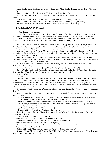"Lieber Goethe. Laiks allerdings. Laiks, anti·" (Germ, Latv: "Dear Goethe. The time nevertheless.—The time anti.")

"Glaube—te Goethe hilft." (Germ, Latv: "Believe—there helps Goethe.")

"Kosti, turpina, te tavs Rilkis." "Velu versuchen." (Latv, Germ: "Kosti, continue, here is your Rilke."—"Too late trying.")

"Barlachs nav." Lasst suchen." (Latv, Germ: "There is no Barlach."—"Being searched for.")

"Heidenstamm." "Te Dominique, horst du?" (Latv, Germ: "Here is Dominique, do you hear?")

"Wirklich Descartes. Kosti, Descartes!" (Germ: "Really Descartes. Kosti, Descartes.")

#### **2. STRENGTHENING CONTACTS**

#### **14. Experiments in partnership**

Amongst the thousands of voices on tape, those that address themselves directly to the experimenter—often giving their names—are the ones with the greatest value to the investigator. Contents and structure of utterances give a strong impression of independence. Many fragments seem to indicate that close relatives or friends seek contact from beyond the grave, and wish to be remembered by those remaining on earth:

"Vai tu liebe Kosti?" "Asune, kopiga skola." "Dzirdi mus?" "Snabis, pudele te. Piemini!" (Latv, Germ: "Do you love Kosti?"—"Asune, school together." "Do you hear us?" "Brandy, the bottle is here. Remember us.")

The secondary school to which the experimenter went was in Asune.

"Atceries tu mani no skolas?" (Latv: "Do you remember me from our schooldays?") "Konstantin, te Vladislavs, tu mani pazini Kraslava." (Latv: "Konstantin, here is Ladislav, you knew me in Kraslava.")—The experimenter was at the grammar-school in Kraslava.

"Boris tja!" "Raudive styrka." "Tu peti te?" "Vorslavs te. Peti, uszvilp man!" (Latv, Swed: "Here is Boris."— "Raudive is strength."-"Are you investigating here?"—"Here is Vorslavs. Investigate, don't give a hoot about me!") Vorslavs was a schoolmate of the experimenter.

"Radiniek, radiniek baci!—Radiniek!" "Deine Schwester." (Latv, Ital., Germ: "Relative, relative, kisses!— Relative!"—"Your sister.")

"Tovi broli, Konstantin, tovi broli!" (Latg: "Your brothers, Konstantin, your brothers.")

"Kosti, te Vanka. Kosti, Kosti, Kosti paliec! Redzat man, redzat mani, djadja Kostja!" (Latv, Russ: "Kosti, here is Vanka. Kosti, Kosti, Kosti stay! Do you see me, do you see me, Uncle Kostja!")

"Ko Koste saka?"

"Raudive !"

"Daugava tja bus." "Tu Latve. Koste, te Jadviga." (Latv: "What does Koste say?" "Raudive!"—"The Duna will be here!"—"Latvian woman. Koste, here is Jadviga.") Jadviga was a schoolmate and later a good friend of the experimenter. She was married to Voldis D. who manifests often on tape. "Kosti da!"— "Te Energie twa."

"Vitalist." "Ursula atliek." (Germ, Latv, Swed: "Kosti here!"-"Here is Energy two." "Vitalist." "Ursula postpones." "Tala, Konstantin, tu svesa."

"Es redzu musu Kosti." (Swed, Latv: "Speak, Konstantin, you are a stranger. [or: You are strange.]"—"I see our Kosti.")

"Koste, vai tu detekte? (Latv: "Koste, are you detecting?"—The word "detekte" is a neologism of the Latvian word for "detective".)

"Raudiv, te velti nauda. Raudive quar." (Latv, Swed: "Raudive, here money makes no sense. Raudive remains.") "Laid, Kosti fint! Vestibi." (Latv, Swed: "Let Kosti through, fine! Vestibi.")

"Konstantin, wir brauchen hoeren, wir brauchen dich." (Germ: "Konstantin, we need to hear, we need you.")

"Turi, turi mani, Konstantin!" "Tautiets mans!" (Latv: "Hold me, hold me, Konstantin!"—"My compatriot.") "Ludz tu Kostuli!" (Latv: "You ask Kostuli.")

"Musu Kosti treff!" (Latv, Germ: "Meet our Kos ti!")

"Wir zini, kur Ko...." (Germ, Latv: "We know where Ko. .. .")

"Kostja, Kostja, hoerst du uns?" "Kosta, Kosta, hoerst du uns!" (Germ: "Kostja, Kostja, can you hear us?"— "Kosta, Kosta, hear us!")

"Slava, Kosta dzird!" (Latv: "Praise, Kosta hears!")

The voices also indicate that to them the experimenter is far away:

"Konstantin, tu mums esi talu." (Latv: "Konstantin, you are far from us.")

The plea for contact is always voiced more or less urgently:

"Raudive ir tja! Kosti, taisi tiltu!" (Latv: "Raudive is here! Kosti, build the bridge!")

Another voice adds: "Musu Kosti vadi!"

"Brahms ir till Kostja." (Latv, Swed: "Guide our Kosti!"—"Brahms is for Kostja.")

"Ba vakara Kosti." "Sveiki Koste!" "Lobs pazina." "Tiltu!" (Latv: "Kosti is without evening."—"How do you do, Koste!""A good acquaintance."—"The bridge, please!")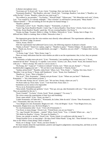A distinct microphone voice:

"Sveicinats esi! Te Kosti will." (Latv, Germ: "Greetings. Here one looks for Kosti.")

"Konstantin Raudive!" "Hej Raudive, solo mej." (Swed, Ital.: "Greetings, Raudive, I am alone.") "Raudive, wo willst Du hin?" (Germ: "Raudive, where do you want to go?")

"Du wolltest ja, jau pusnakts." "Tas Kenins." "Wieviel Dank!" "Edison pats." "Wir Menschen such weit." (Germ, Latv: "You wanted to, it is already midnight." "This is Kenins" (a well-known Latvian poet). "Many thanks!" —

"Edison himself."—"We are looking all over the place for human beings.")

"Raudive, piedod!"

"Konstantin, Latvis!" (Latv: "Raudive, forgive." "Konstantin, a Latvian.")

"Guten Tag, Kosta Raudivel Raudiv', Guten Tag. Vi skersa Raudive. Nasa Kosta." (Germ, Swed, Latv, Russ: "Good day, Kosta Raudive! Raudiv', good day. We are crossing Raudive. Our Kosta.")

"Kostja, tja Hugo. Tja gruti. Hitlers ir viltigs. Te Hitlers. Nietzsche te." (Latv: "Kostja, here is Hugo. It is difficult here. Hitler is cunning. Here is Hitler. Nietzsche is here.")

The impression grows that the voice-entities react directly when addressed. The experimenter addresses, for instance, Sir Oliver Lodge. In answer:

"Oliver, Koste, Oliver!"

After the experimenter had addressed Garcia Lorca, the following sequence of phrases is heard:

"Danke, tu Koste!" "Smerti tev vajdzej, angel tu." "Raudive tu putns." "Nomira Oidipus. Vk·aka pietiek." Latv, Russ: "Thank you, Kcrste."—"You needed death, you angel."—"Raudive, you are a bird!"—"Oedipus died. Incense

is enough.")

"Te Kosta, Loge." (Latv: "Here, Kosta, Loge.")

There are many indications that the voice-entities are able to see the experimenter; that, in fact, they are present in the room.

"Konstantin, es kakta stavu pie tevis." (Latv: "Konstantin, I am standing in the corner near you.") "Kosti, moment bei dir drin!" "Kostja tja. Vi zajedim. Lorca secret." (Germ, Latv, Russ, Swed: "Kosti, this moment I'm in with you."—"Here is Kostja. We come in. Lorca's secret.")

"Da Kostja, du!" "Lipoj tu!" "I tukstos te redzam!" (Germ, Latv: "There you are, Kostja!"—"You are [symbolically] wagging your tail."—"We are here in our thousands.") "Darom, Koste."

"Saskija, prima Kosti!" "Razalite, redzu Kosti." (Russ, Latv: "Free, Koste."—"Saskija, first class, Kosti."— "Razalite, I can see Kosta.") "Koste, mill Nambrenci." (Latv: "Koste, love Nambrencl.")

"Raudive te." (Latv: "Here is Raudive.")

"Kur tu te?" "Pirti, Konstantin." "Nakam sisti pie Kostes." (Latv: "Where are you here?"-"Bathroom, Konstantin."—"We come beaten to Koste.")

"Wir hier sind. Kostja, kur tu?" (Germ, Latv: "We are here. Kostja, where are you?")

"Pa Kosti radzu tja. Kozu Janis." (Latv: "I see Kosti here. Kozu Janis.")

Sometimes access seems to be impossible:

"Nu ej, nu ej, Konstantinu panem!"

"Ieksa netiek. Nosoditas par grekiem." (Latv: "Now go, now go, take Konstantin with you." "One can't get in. They are punished for the sin.")

"Kosti, Fremde!" "Ga borta." (Germ, Swed: "Kosti, strangers!"-"Go away.")

The voices assure the experimenter of their love and friendship :

"Kosti, mans miluli!" (Latv: "Kosti, my dear!")

"Lieber Konstantin, ich liebe dich." "Konstantin, du Lieber, liebe du mich." (Germ: "Dear Konstantin, I love you."-"Konstantin, dear one, love me.")

"Tava Brigita tevi mil, Konstantin. Brigita tevi mil.—Vins mil Brigitu." (Latv: "Your Brigita loves you, Konstantin. Brigita loves you. He loves Brigita.")

"Es visu Konstantinu milu." (Latv: "I love all of Konstantin.")

"Van Kosti, tu musu draugs." (Swed, Latv: "Friend Kosti, you are our friend.")

"Ty—jag, Freunde! Wo konnen ... stanim!" (Russ, Swed, Germ: "You... I, friends! Where can ... stay.")

"Wir beten fur Raudive." (Germ: "We pray for Raudive.")

"Kosta, van, pietiek ar muziku." (Swed, Latv: "Kosta, friend, it is sufficient with the music.")

"Dorgs Kostule! Ecco, tu man dorgs!—Ko dara Zenti? Ekkur Raudi." (Latg, Ital.: "Dear Kostule! Ecco, you are dear to me! What is Zenta doing? There is Raudi.")

"Kosti, tev ir draugi." (Latv: "Kosti, you have friends.")

We hear remarks about the experimenter, positive and negative judgements concerning him, and hints as to his physical and mental condition.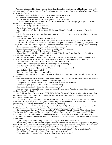At one recording, in which Zenta Maurina, Gustav Inhoffen and his wife Ingeborg, a Miss H. and a Miss M.R. took part, Mrs. Inhoffen remarked that Zenta Maurina was contributing more than anyone else, whereupon a female voice was heard to say:

"Konstantin, unser Psychologe!" (Germ: "Konstantin, our psychologist!")

An interesting dialogue ensued between a man's and a girl's voice:

"Meitens, vins nav Schwed in schwedischer Sprache." "Vins nav Schwed?"

"Er einwanderte in Schweden." (Latvian, Germ: "He is not Swede in Swedish language, my girl."—"Isn't he Swedish?"—"He emigrated to Sweden.")

"Vi kanner Kosta." (Swed: "We know Kosta.")

"Dzivo, dieser Kosta." "Raudive ir skeptikis."

"Atstoj, moj skeptikis!" (Latv, Germ, Rues.: "He lives, this Kosta."—"Raudive is a sceptic."—"leave it, my sceptic!")

"Pero Lindstroem, piesargi Kosti, tagad nikst pie radio." (Latv: "Pero Lindstroem, take care of Kosti, he is now pining away at the radio.")

"Raudive nava bargs." (Latv: "Raudive is not strict.")

"Es gibt richtig stroga. Warum, lieber Koste?" (Germ, Russ: "There is real severity. Why, dear Koste?")

"Fein, sachlich, Koste da." "Raudive tiesa." "Kostulit, tautas grib." "Vi hoppas te Raudive." (Germ., Latv, Swed: "Fine, factual, Koste is."—"Raudive judges."—"Kostulit, the nations want to." "We are hoping, here is Raudive.")

"Raudive deutsche versteht." (Germ: "Raudive understands German.")

The experimenter usually speaks German during investigations. A voice asks:

"Kapec vaciets tu nu?" (Latv: "Why are you now German?")

"Diktare Kosti." "Kosti ir diktare." "Saki nadi, liels zupis." (Swed, Latv, Span: "Poet Kosti."—"Kosti is a poet."—"Don't say anything, he is a great tippler.")

"Hej, hej! Perkoni nodruka!" (Swed, Latv: "Good day, good day! Let 'Perkons' be.printed!") This refers to a novel by the experimenter which was just due to be printed in New York when this recording took place.

"Kosti lobs katolu Sohn's" (Latv, Germ: "Kosti is a good Catholic son.")

"Dums Kostis." "Vins ir ipatnejs. (Latv: "Kostis is stupid." "He is strange.")

"Ekis, Kosti padums." (Latv: "Ekis, Kosti is a little stupid.")

"Kosti, wieviel noch strunt!" (Germ, Swed: "Koste, how much more silly stuff!")

"Liels slinkulis!" (Latv: "A big loaferl")

"Koste, tu traks." (Latv: "Koste, you are mad.")

"Septini piki, tev napatiksanas!" (Latv: "My word, you have worry!") The experimenter really did have worries at that time.

The voice-entities are concerned about the experimenter's concentration and his abstinence. They issue warnings: "Kostulit, tikai nepagurt!" (Latv.: "Kostulit, above all don't get tired!")

"Tu nogurs esi. Vai tur Kosta redz?" (Latv: "You are tired. If Kosta can see there?")

"Konstantin, nepere greku!" (Latv: "Konstantin, don't buy sin!")

"Konstantin, streite nicht!" (Germ: "Konstantin, don't quarrel."j

"Negausa! Kosta par daudz plite, musu Kosta. Du Trinker!" (Latv, Germ: "Insatiable! Kosta drinks much too much, our Kosta. You drunkard!")

"Ora !" "Piestaj, Kosta! Dvesele piestaj." "Die Liebe,der kuenftig varge!" "Slova. Kosti gul tai pasa gula." (Lat., Latv, Germ, Swed, Russ: "Pray!" "Stop, Kosta! The soul calls a halt." "love, the future she-wolf."—"The word. Kosti sleeps in the same bed.")

"Kosti, tu? Raudive, guli tu? Mutti." "Gib mir einen Kuss!" "Ko tu vilini?" "Isti smirde pec skorosti." "Kostulit, nakts miers!" (Latv, Germ, Russ: "Kosti, you? Raudive, are you asleep? Mother."—"Give me a kiss."—"Why are you attracting?"—"It really stinks of speed."—"Kostulit, night's rest.")

"Ka tu skrini var tupet!" "Furchtbar tu dzer, muns Koste." (Latv, Latg: "How can you hover in the cupboardl" Could also mean "in the shrine", the "chest" or the "cabinet". "You drink terribly, my Koste!")

"Kosti, Alozs pakal. Cela nav." "Pievelc tu, padre te." "Vai tu plitt?" "Gryuti, Winter te." (Latv, Span, Germ: "Kostja, Alozs is following you. There is no way."—"Pull tight, here is father."—"Are you boozing?" "Difficult, here is winter." Not clear whether the last word means the season, or whether it is "Winter"—the name of a person.)

We often hear congratulations at successes, or other staterents that show interest in our investigation of the voice phenomenon.

"Jagau. I wishy fuer Raudive Erfolg." (Engl, Germ: "Jagau. I wish Raudive success.")

"Walters Rapa, Janis Rapa: Konstantin, begluekwuensche. Wirklich ein stor petijums. Nepagurt." (Germ, Swed, Latv: "Walter Rapa, Janis Rapa: Konstantin, congratulations. Really a great research. Don't get tired!") Walter and Janis Rapa were the experimenter's Latvian publishers in Riga. They manifest several times.

"Koste, te ist Rapa." "Koste, te ir Rapa." (Latv, Germ: "Koste, here is Rapa."—"Koste, here is Rapa.")

"Fischer Koste, te Rapa." (Germ, Latv: "Fisherman Koste, here Rapa.")

"Te tev Rapa. Skaitit lugsanas." (Latv: "Here you have Rapa. Go on praying.")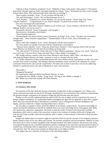"Izdevejs ir Rapa. Projektins, projektins!" (Latv: "Publisher is Rapa. Little project, little project!") "Konstantin gruts darbs. Diezgan rupju par Zentu. Sasniegsit praktiski ko velaties." (Latv: "Konstantin has heavy work. Enough worries about Zenta. They will practically attain what they are wishing.")

"Man tu pateici patiesibu." (Latv: "To me you have told the truth.")

"Wir sind deinetwegen." (Germ: "We are [here] because of you.")

"Tack, Raudive." "Gratulation tev, Konci! Pekainis. Tev nav ko eilt, Konsta." (Swed, Engl, Latv, Germ:

"Thanks, Raudive!"—"Congratulations to you, Konci! Pekainis. You don't have to hurry, Konsta.")

One voice encourages the experimenter:

 "Weg, Raudive, slipsi! Mes cinamies. Raudive, tu tol" (Germ, Latv: "Away, Raudive, with the tie! We are fighting. Raudive, you are far away!")

"Konstantin, mit kraft." (Germ: Konstantin, with strength.")

Apsveicam tev, Konstantin, durch Radio."

"Anna Strotford begluecka."

"Hammarskjold, mit meinen Worten, prosit, Konstantin, du mutig!" (Latv, Germ: "We greet you, Konstantin, through radio." "Anna Strotford congratulates." "Hammerskjold, with my words, cheers, Konstantin, you courageous!"

"Kosti, atskir labi svarigako!" (Latv: "Kosti, distinguish well the most essential!")

The voice-entities are equally concerned with the experimenter's environment:

 "Saluzusi Zenta, Raudive." (Latv: "Zenta has broken down, Raudive.") This statement refers to the fact that Zenta Maurina was feeling ill at the time the recording was being made.

"Wo willst du hin? Tu mil Kosti. Zenta, kehr um! Te Masi. Roberts sjukhuseta." (Germ, Latv, Swed: "Where do you want to go? You love Kosti. Zenta, turn back! Here is Masi. Robert is in hospital.")

This strange sentence contains a hint from Zenta Maurina's sister Renate, called "Masi"; she seems to be indicating that Robert Maurini, the father, continues to work at a hospital after his death.

As a further illustration of direct partnership between the voice-entities and the experimenter we add a few more excerpts from various recordings. The dialogue indicates immediate contact and shows the rudiments of a proper conersation between the voices and the experimenter. The latter tries at times to provoke a reaction by addressing himself to a particular person. He calls on Margarete P. and a voice answers:

"Petruschka !"

"Margarete Petrautzka!"

The experimenter addresses Robert and Renate Maurins. A voice:

"Lyudzam mes tevi. Mellis ir Starke." (Latg, Germ: "We beg of you. Mellis is strength.")

Mrs. Mellis was at that time staying with Zenta Maurina.

#### **3. TWO WORLDS**

#### **23. Existence After Death**

The question of life after death has become a dominant consideration in this investigation. Leo Tolstoy, once firmly convinced that death was the end of all things, repudiated his own conclusions after a lifetime of questioning, his spiritual energies consumed in the attempt to bridge the gulf between seen and unseen.

Perhaps no one can fully understand the true value of life, his own or others, until he experiences the terror of facing complete annihilation. To innumerable thinkers throughout the ages, life has appeared as more than a puppet show; they have rejected the idea of dissolution in a limitless void as a denigration of human intelligence and dignity, and have looked for a deeper meaning behind man's existence.

We all realize to a greater or lesser extent the abilities of our human "animal nature", but precise knowledge of matters beyond the boundaries of this life is withheld; there is no exact knowledge about what happens after death, all is guesswork, conjecture, supposition. This book records the results of research into physically verifiable phenomena which seem to some of the researchers to point to the existence of another world and of beings who, with the aid of tape-recorder, radio and microphone, seek to impart a certain amount of information about the place they inhabit.

Insight into another plane of existence might be expected to free us from the concepts of our temporary physical abode, limited as they are by our culture and customs, our passions, prejudices and preconceptions. Hitherto we have had choice but to strive to realize intangible truths through ourselves and within ourselves, but the facts now being investigated through strictly controlled experiments present a challenge to the restrictions and preconceived ideas of modern man, and perhaps offer an opportunity to prove at last, as Leo Tolstoy believed at the end of a long life of trial and error, that "the soul of man contains an element that is not subject to death".

This chapter sets out a selection of references to this absorbing problem.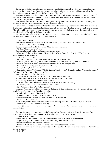During one of his first recordings, the experimenter remarked that man had very little knowledge of matters concerning life after death and that neither his understanding, his judgment, nor his intuition could follow the implications. A voice responded with: "Er kann." (Germ: "He can.")

It is a microphone-voice, clearly audible to anyone, and this remark may perhaps answer the question mankind has been asking since time immemorial. In such a context, the curt statement is an assertion that man can indeed discover what happens to him after death.

The experimenter says that we leave life hoping that we may find ourselves still in existence ... whereupon a male voice answers: "Wir nie verlassen." (Germ: "We never leave.")

Here perhaps is a hint that our view of departure from lift is erroneous; it seems we are told that we continue to live through the transition we call death, which affects only the temporary dwelling-house of our physical organism. The voice-entities make many comments, some of which are given in the following pages, that apparently refer to the relationship of the spirit to the body it has left.

The experimenter, influenced by the happenings of our time, asks whether the souls of those killed in Vietnam perished with their bodies. A woman's voice answers briefly:

"Leben." (Germ: "Live.")

The experimenter repeatedly asks for an answer concerning life after death. A woman's voice: "Ludzu tici!" (Latv: "Please believe.") The experimenter calls on his dead friend R.P. and a male voice says: "Wir dzivi." (Germ, Latv: "We live.") Existence after death is often confirmed in categorical terms: "Leben wir." "Lebe tota, Konstantin." "Kosti, vi viva!" (Germ, Swed, Ital.: "We live." "The dead live, Konstantinl —"Kosti, we live.") "Es dzivoju." (Latv: "I live.") "We greet you all here", says the experimenter, and a voice responds with: "Vi lever." (Swed: "We live.") and immediately following, a male "Ich vive." (Germ, Ital.: "I live.") The voice-entities often repeat such confirmation of existence and their presence: "Wir sind." "Vivi wir." (Germ, Ital.:"We are." "We live.") "Vi viva." (Swed, Ital.: "We live.") "Konstantin, wir sind." "Wir sind." "Wir, Kosti, sind. "Kosti, vi viva." (Germ, Swed, Ital.: "Konstantin, we are." "We are." "We, Kosti, are." "Kosti, we live.") Sometimes voices introduce themselves: "Te sestra, Tante viva." (Latv, Russ, Germ, Ital.: "Here is sister, Aunt lives.") Wir sind Gaeli. Wir lebe, wir lebe." (Germ: "We are Gaels. We live, we live.") A voice-entity declares very definitely that it exists: "Te Tursa. Facit, patiesi mes esam." (Latv: "Here is Tursa. Sum total, we exist.") "Bet smertes, Koste." (Latv, Russ: "Without death, Koste.") "Ego, Vinkalne ir." (Latv: "I, Vinkalne, exist.") Margarete Petrautzki had told the experimenter during her lifetime that she did not believe in an existence after death. In one of the recordings featuring her we hear: "Bedenke, ich bin!" (Germ: "Imagine, I am!") "Musu Kosti, Kosti ir." (Latv: "Our Kosti, Kosti exists.") The experimenter asks whether the dead are amongst us. A male voice: "Mes esam." (Latv: "We are.") When the experimenter comments that man does not live only here, but lives many lives, a voice says: "Pareizi tu runa." (Latv: "You speak correctly.") Listening to these, and to other examples, we gain a firm impression of a conscious, seeing and hearing world confronting us. The experimenter once made a recording in Schienen (Lake Constance). One of the participants says that a brother who died lived on in the memories of those who knew him. We hear in answer: "Ich binl" (Germ: "I am!")

The same participant goes on to say that the dead brother was, so to speak, a part of himself.

"Ich glaube dir gern. Giaub mir!" (Germ: "I believe you gladly. Believe me!")

The experimenter asks the deceased how he is.

"Blendend, Herr Raudive." (Germ: "Splendid, Herr Raudive.") comes the answer.

After the experimenter has stated further that the brother loved the deceased very much, the voice calls the living brother by name:

"Gerfried!"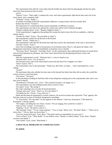The experimenter then tells the voice-entity that the brother has shown him his photograph and that his spirit must have been present on that occasion.

zxzxzx

"Pareizi!" (Latv: "That's right.") con6rms the voice: and when experimenter adds that he then read a bit of his novel aloud, voice comments with:

"Schlecht!" (Germ: "Badly.")

At another recording-session the experimenter addresses a young woman who has recently died.

Wakna dej! (Swed: "Awake!")

The impression of a transitional sleep is given repeatedly on different occasions.

The experimenter says that in his opinion the woman may still be tied to habitual thoughts.

"Raudive nobiede Zenta." (Latv: "Raudive frightens Zenta.")

To the experimenter's suggestion that perhaps the woman has had to leave this life too suddenly, a delicate female retorts:

"Glaubst du, Papa?" (Germ: "Do you think so, Papa?")

The experimenter wishes her all the best in the beyond.

"Danke." (Germ: "Thank you.")

The experimenter's plea that the deceased may help him to prove the immortality of the soul, is answered by: "Ich bin!" (Germ: "I am!")

One of the recordings was made in the presence of an Estonian nurse, Nora S.; she greets her father, who disappeared somewhere in Siberia. Immediately an Estonian voice is heardl-

"Tervitana, Nora!" (Estonian: "Greetings, Nora!" As the experimenter does understand Estonian, he noted down what he heard phoneme by phoneme, and a later check showed that the deciphering had been correct and meaningful.

After the experimenter's words: "Welcome here", a voice is heard to say:

"Neraud vairsl" (Latv: "Cry no more!")

The Estonian nurse calls on her dead friend Lenart and asks him if he is happier over there.

"Nein!" (Germ: "No!")

The experimenter says to the participant: "Thank you, dear Nora, we hope ..." and is interrupted by a voice calling:

"Lenart!"

The participant then asks whether her dear ones in the beyond fare better than they did on earth; she would like to hear at least a word from them.

"Wir horen!" "We hear!"

In the preceding recording we had been able to hear desperate weeping and so the experimenter asks who it was that cried so bitterly.

"Noziedzniece. Neraudu vairs." (Latv: "The criminal (woman). I no longer cry.")

The experimenter says that nothing touches him so much as tears.

"Esi stiprs!" (Latv: "Be strong!")

The same consoling voice can also be heard elsewhere:

"Neraud, mili citus!" (Latv: "Don't cry, love the others!")

"Ich bleibe bei dir." (Germ: "I stay with you.")

Death and the dead are mentioned in various contexts. On several occasions the expression "Tota" appears; this had also come up in some of Friedrich Juergenson's recordings.

"Vi Tota (Swed: "We, the dead.") It also appears in the sentence "Lebe tota, Konstantin" ("The dead live, Konstantin.") already quoted.

"Wir singen, wie heilig fuer uns Toten." (Germ: "We are singing, how sacred for us dead.")

"Eine no Tote." (Germ: "A non-dead.")

"Negribas." (Latv: "He doesn t want to.")

"My smertiaki. Gulet." "Te nav vergu nometnu." "O ja, te vergi." (Russ, Latv: "We dead. Sleep."—"There are no slaves here."-"Oh yes, there are slaves here.")

"Gari tevi aizsuta tulit puti!" (Latv, Russ: "The spirits send you immediately on your way!")

"Navi tu klaus!" (Lat.: "Obey death!" A very distinct voice. "Raudiv, tu smerti redzeji." (Latv, Russ: "Raudiv,

you have seen death.")

"Navi binda!" (Latv, Swed: "Bind death.")

#### **4. PRACTICAL PROBLEMS OF COMMUNICATION**

**26. Spidola**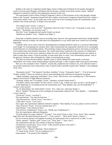Spidola is the name of a legendary female figure, bearer of light and of freedom for her people; through the works of Latvian poets (Pumpurs and Rainis) she has become a symbol of the ideal Latvian woman. "Spidola" appeared in connection with the voice-phenomena research in this way.

The experimenter tried to follow Friedrich Jurgenson's advice to find assistance in his work through a female helper in the "beyond". Juergenson himself had such a helper in the beyond. Juergenson himself had such a helper, a voice-entity named "Lena", as the reader may recall, and at one of his recording-sessions the experimenter asked whether Lena would assist him. A female voice answered:

"Ich weigere mich!" (Germ: "I refuse.")

"Lena nach Armee, Lena nevar but!" "Konstantin, hoerst du Lena?" (Germ, Latv: "Lena gone to army, Lena cannot be." "Konstantin, can you hear Lena?")

After this "Lena" disappeared and another female was heard:

"Spidola tava palidze!" (Latv: "Spidola your helper.")

From then on Spidola started to assist at recordings later; however, the experimenter noticed that, though Spidola fulfilled her function as helper, the radio had to be manipulated in a way which made strict control over recordings impossible.

Gradually other voices came to the fore, demanding that recordings should be made on a certain pre-determined wave-length. To avoid getting into ordinary direct radio-transmissions the experinenter tuned his set to wavelengths located between two transmitting-stations. This technique requires long and patient practice, but seems to satisfy the voice-entities better than Spidola's directions. The varied experiments conducted in the: presence of collaborators have proved that this is the correct method to adopt; the voices need the free wavelengths between two stations in order to make their contact. It may be possible, at some future date, to create "voice-transmitting stations" such as the physicist, Professor Alex Schneider (St. Gallen, Switzerland) has in mind.

This does not mean that the problem "Spidola" poses is solved. Behind this name stands a conscious, independent voice-entity which, demonstrating a spiritual principle, is able to appear under many guises and names.

Here are a few examples of how "Spidola", acoustically, emphasises her existence; for, even when her name is not actually mentioned, some characteristic traits of speech make it possible to guess that "Spidola" is the originator

of the voice:

"Konstantin, horch!" "Viel Quatsch! Furchtbar, furchtbar!" (Germ: "Konstantin, listen!"—"A lot of nonsense! Terrible, terrible'") These two sentences refer to some disturbing radio interferences during the recording.

"Tagad Aufnahme, tagad jauna Aufnahme!" (Latv, Germ: "Record now, new recording now!") This sentence appears consecutively in eight different variations.

"Achtung, schliess aus! Tot schlagt!" (Germ: "Attention, exclude! Strikes dead!")

"Ich danke, milulit, muns milulit. Ich bin Leiterin." (Germ, Latg: "I thank you, dear, my dear. I am the guide.") At the beginning of a recording-session the experimenter says: "Dear Spidola, take over the leadership!" A

woman's voice answers:

"Ja, ich uebernehme, mit vielem Dank!" (Germ: "Yes, I take over, with many thanks.")

Who is "Spidola"? During one of the recordings the experimenter addresses her: "Dear Spidola. ..." Immediately a voice comes in:

"Ich bin da!" (Germ: "I am here!")

The experimenter: "You take the lead now ..."

"Jag Schwester bin." (Swed, Germ: "I am sister.")

"Liebe dich!" (Germ: "Love you!")

Once again, the experimenter addresses himself to Spidola: "Dear Spidola, if you can, please converse with me." "Hast schon du!" (Germ: "You have already done so!")

Experimenter: "Your friends are here."

"Fast neviens! Tumbelarum!" (Germ, Latv: "Hardly any! Tumbelarum!")

Now the experimenter addresses Margarete.

"Ka kads ubago! Ka vispar valdzina?" "Ka pops!" "Kas, Koni? Kosta ir vitne." (Latv, Swed: "How someone begs! How does one hold [someone] anyway?"—"Like a priest!"—"Who, Koni? Kosta is witness.")

On one occasion, during a microphone-recording, the experimenter tries to switch over to radio. A voice "Warte, sptaeter!" "Spaeter, gaid!" (Germ, Latv: "Wait, later!"—"later, wait!")

The experimenter asks the voice-entities to help him. Response :

"Nomierinies, te Erde oben." (Latv, Germ: "Calm yourself; up here is the earth.")

Experimenter: "Many thanks!"

"Ludzu!" (Latv: "Please!") Meaning: "Don't mention it!"

"Vi ventar pa dej. (Swed: "We are waiting for you.")

Experimenter: "I am proud of her [Spidola]."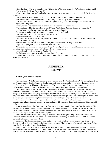"Einmal richtig." "Warte, te mamula, warte!" (Germ, Latv: "For once correct!"—"Wait, here is Mother, wait!") "Warte, spaeter!" (Germ: "Wait, later!")

When the experimenter asks Spidola whether she cannot give an account of the world in which she lives, the answer is:

"Nevaru tagad, Raudive, esmu Osune." (Latv: "At the moment I can't, Raudive, I am in Asune.

The experimenter announces himself at the beginning of a recording. A voice interrupts:

"Nachts muede. Es milu tevi. Spidola. Gute Nacht, gute pirts!" (Germ, Latv: At night, tired. I love you. Spidola. night, good bath [room].")

Spidola, remarks the experimenter, belongs to the closest of friends "over there".

"Tici vel, Raudive! Kostja, Spidola tova mote!" (Latg: "Do believe, Raudive! Spidola is your mother.")

"Spidola" thus embodies the two primeval powers of sister and mother.

During one recording, made at 2 a.m., the experimenter calls on Spidola.

"Rits, naktis gul!" (Latv: "Tomorrow, at night one sleeps!")

The experimenter then calls radio Peter.

"Aolzs gul. Weiss Petrautzki. Schweig! Johns Nulle hilft." (Latv, Germ: "Aljos sleeps. Petrautzki knows. Be quiet! Johns Nulle is helping.")

Experimenter: "In time, and with more practice, the difficulties will certainly be overcome."

"Ir praksis. Tagad guli!" (Latv: "There is practice. Now sleep!")

Although the experimenter moved on from Spidola's way of practice, the voice still appears. During a later recording the experimenter wishes for Spidola's help. A woman's voice:

"Immer, Raudiv'!" (Germ: "Always, Raudiv' !")

The following microphone-voice also confirms Spidola's existence :

"Pamiru, Spidola, ar labu." (Latv: "Truce, Spidola, in good will.") "Efir! dirige Spidola." (Russ, Latv: Ether! Here Spidola directs.")

## **APPENDIX**

(Excerpts)

#### **A. Theologians and Philosophers**

**Rev. Voldemars A. Rolle**, Lutheran Pastor of the Latvian Church at Willimantic, CT, USA, and a physicist, was the first to recognize the significance of the phenomenon from a religious point of view; he writes to the author:

On the tapes I received from you, the audibility of the voices is good. It seems to me that only people with defective hearing or no linguistic background would be unable to hear and understand the recordings.

I am happy to know of the existence of this phenomenon. It makes no difference how many voices you have recorded; the most important thing is the fact itself--it opens the door to further research. Of course, it is very intriguing to try to explain this parapsychological phenomenon by means of modern physics, but it will not be an easy task. It would be necessary to revise and even change several concepts which are now accepted as axioms. For the present, the research into the phenomenon should be limited to gathering data to prove its reality.

It may be worthwhile to try an experiment with video tape similar to that with audio tape; perhaps both simultaneously. I do not see any reason why an experiment with video tape should be less successful than one with audio tape.

To me as a theologian, the phenomenon is of special interest. Very similar phenomena have been observed by people of different nationalities in our time as well as in the past. In Holy Scriptures such events are recorded as cases of clairaudience, or "visions". If the voices recorded on magnetic tape exist, the truth of what the Scriptures tell us in this respect may be more readily accepted.

The theory that the electronic circuit may be influenced by electromagnetic impulses associated with our "unconscious" seems very doubtful to me. It is surprising that by listening to the voices it is possible to identify persons to whom the voices may belong.

Concerning the phenomenon itself, it may be that we are confronted here with a specific type of energy not known to modern physics. I would be inclined to call this energy "the life-energy of progressive intelligence". Very superficially, it may be illustrated as follows:

Examining a proton or an electron, we find that a certain amount of matter is associated with electric energy. When a proton changes into a neutron in the process of nuclear reaction, a release of energy occurs. Likewise, an electron releases energy in the form of photons when an electron jumps from a higher energy-level to a lower one. It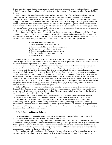is most important to note that the energy released is still associated with some form of matter, which may be termed "relative" matter, and that therefore it is still confined in the inertia system of our universe, where the speed of light is constant.

It is my opinion that something similar happens when a man dies. The difference between a living man and a dead one is this: as long as a man lives his body (matter) is associated with the life-energy of progressive intelligence. This is no longer the case with the body of a dead man. The animal's body is associated with a similar energy, but the animal differs from the human being, because the animal does not possess a progressive intelligence: its intelligence stays at the same level all the time and does not show progressive growth. The progressive growth of human intelligence shows itself in a variety of fields: for instance, in art, philosophy, science, technology, etc. The "life-energy" of the world, as yet unexplored by science, seems to be as manifold in its expressions as, for example, energy produced in the realm of electromagnetic waves.

At the time of death the life-energy of progressive intelligence becomes separated from our body (matter) and continues its existence in the inertia system of pure energy, where energy is no longer associated with matter. The inertia system of pure energy exists independently from the forces that govern our seven (or more) inertia systems, to which matter and the energy associated with matter, are confined. The seven inertia systems are:

- 1. The earth's rotation round its axis.
- 2. The rotation of the earth round the sun.
- 3. The movement of the solar system in our galaxy.
- 4·. The rotation of our galaxy round its axis.
- 5. The movement of our galaxy in the universe.
- 6. The rotation of our universe round its axis.
- 7. The speed of our universe.

As long as energy is associated with matter of any kind, it stays within the inertia system of our universe, where speed of light is constant. This system, to which all matter is confined, is governed by the time and space formula of the law of relativity: (square root of one minus V over C squared).

When acceleration reaches the speed of light or more, the energy breaks away from matter and continues its existence in the inertia system of "pure energy" (characterized by imaginary values, expressed in the formula: square root of minus one); this inertia system is as real (in its own dimension) as is the inertia system of our universe, where the speed of light is constant. In my opinion the speed of light is only a threshold value, or escape velocity of pure energy; a threshold of the inertia system of our universe, in which matter is confined; this system governs time and space, as well as the law of gravity and therefore everything moves in curved lines. As soon as this threshold is overcome, we are in the inertia system of "pure energy", in which matter is no longer present and which lies outside time, space and the law of gravity. The direction of pure energy is therefore a straight line which is also the locus of imaginary values. As soon as energy is decelerated to the speed of light, it is captured by matter and therefore becomes confined to our universe and our inertia system.

To tie the life-energy of progressive intelligence to our inertia system, it is necessary to associate it with some form of (relative) matter, as happens in the case of photons or electromagnetic waves. This is only possible if the energy can be decelerated to the speed of light or below. "Relative" matter is, in fact, mentioned in the Gospels as the "glorified" or "spiritual" body (1. Cor. 15, 44).

It seems to me that in your experiments the free life energies of progressive intelligence are successfully decelerated to below the speed of light, bringing them for a limited period of time into our inertia system.

I am convinced that the phenomenon you describe is as real as our own existence. Unfortunately, our contemporary science pays no attention to the possibility that a state of pure energy may exist without being associated with matter of any kind. In my opinion it is of the greatest importance to look at the voice-phenomenon from every possible angle and I very much regret that at present my limited time does not permit me to investigate these interesting manifestations more closely.

#### **B. Psychologists and Parapsychologists**

**Dr. Theo Locher**, Doctor of Philosophy, President of the Society for Parapsychology, Switzerland, and publisher of the Bulktinfor Parapsycirology, Biel, Switzerland, reports:

I confirm that I examined the voice-phenomenon on 30th June 1967 in Biel, and on 10th and 11th November 1968 in Bad Krozingen, and that I am convinced of its authenticity. A few tape-sections were easy to understand and I could grasp the words spoken, but most of the voices were too soft and indistinct for my unpracticed ear. They were, however, undoubtedly human voices, though many of them could certainly be interpreted in different ways, even by people practiced in the art of "listening-in".

The recording and analyzing of thousands of voices in the space of two and a half years must have presented a tremendous task, demanding great perseverance and deep personal involvement. I would like to express my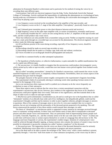admiration for Konstantin Raudive's achievement and in particular for his method of testing the voices by rerecording them onto different tapes.

Conversations I had with two electrical engineers from the Eidg. Techn. Hochschule Zurich (the National College of Technology, Zurich) confirmed the impossibility of explaining this phenomenon on a technological basis, leaving aside any circumstances of deliberate deception. The following are conceivable electromagnetic influences which may be playing a part:

1. Low frequency waves received on the recording head or the amplifier of the tape-recorder, and

2. Low frequency waves on the L.F. stage of the radio amplifier ("microphony", practically found on valve sets only).

(1 and 2 demand great transmitter power or else short distances between aerial and receiver.)

3. High frequency waves on the radio input amplifier with, in certain circumstances, extremely small power.

4. It is technically feasible that H.F. waves are also acting directly on the L.F. amplifiers of the tape-recorder and radio, and this would produce only weak voices.

These four influences are only possible from a transmitter using an aerial. Neither an imperfect erasing of a used tape nor a static print-through on a recorded tape can account for the phenomenon. The electrical engineers referred to above make the following suggestions:

(a) All oscillations present in the room during recording, especially of low frequency waves, should be investigated.

(b) Recordings should be made on several tape-recorders at once.

(c) Recordings should also be made in a Faraday cage, both with and without a technician.

(d) Voices recorded on an oscillograph should be photographed and analyzed.

I would like to comment briefly on other attempted explanations:

1. *The hypothesis of hallucination*, or collective hallucination, is quite untenable for audible manifestations that can be copied onto different tapes.

*2. The unconscious*: it is hardly feasible to imagine that the unconscious could produce electromagnetic waves, which, picked up by radio or tape-recorder, would then turn into human voices pieced together from isolated words. The theory

that so-called "secondary personalities", formed by Dr. Raudive's unconscious, could transmit the voices via the manifold frequencies of radio-waves, is completely without foundation. Nevertheless, there are certain aspects of the phenomenon that give food for thought:

The polyglot character of the speech-content roughly corresponds to the experimenter's linguistic knowledge.

The experimenter's habit of occasionally altering or confusing words when speaking German seems to be repeated in the language of the voices.

Just as our unconscious often expresses itself in symbols (as in dreams) so do the voices frequently use symbolism in many of their utterances.

These three aspects seem to indicate that the voices have a certain unexplained connection with the experimenter's unconscious; they do not, however, give credence to the supposition that forces in Dr. Raudive's unconscious could piece together their own words, with more or less significance, and then transmit them in the shape of radio-waves to radio-set and tape-recorder.

*3. Mischievous spirits* (elementals): considerations (a), (b) and (c) could give rise to the hypothesis that so-called "elementals" (entities of an ethically base order and of low intelligence, but telepathically gifted), could read the experimenter's thoughts and then tap his memory in order to piece together coherent, polyglot messages or answers to questions. Most of the contents of messages seem to me to be of a very poor standard; they try to match a question, but are not in keeping with the personality of the deceased person purported to be speaking. This still leaves unanswered the question of how these entities would transmit their messages via radio.

The thesis of "elementals" or mischievous spirits is supported in many instances by messages received through trance or automatic writing-mediums, In these cases such entities seem at times able to masquerade as deceased persons and often imitate voices and mannerisms. They are particularly fond of impersonating famous people such as Goethe, Churchill, Napoleon, etc., and this certainly seems to be the case with some of the "voices". It strikes one as odd when well-known men or women express themselves in words of a language they did not know in life. The language used most frequently is Latvian, the experimenter's mother-tongue. Imitation of a dead person's voice could be achieved through telepathic tapping, as human memory also contains the memory of sound; it may even be possible for elementals to tap psychic remnants (so-called "memory complexes") of the deceased.

*4. Deceased persons*: The supposition that the voices are those of the deceased themselves must be seriously considered. Manifesting voices often refer to conversations in progress and answer questions.

Just as the dead seem to be able to master the technique of the "direct voice" when a trance-medium is present, apparently through a "voice-box" built from matter of a finer substance (ectoplasm), so the voices may be able to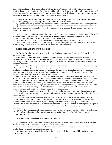construct transmitting devices fashioned out of this substance. We can only rely in this matter on statements received through trance-mediums and are therefore still completely in the dark as to what really happens. One is, of course, able to deduce a great deal from Dr. Raudive's experiments as well as from one's own studies and I would like to make some suggestions which may prove helpful in future research:

(a) Some experiments should take place in the presence of a clairvoyant medium, and experiments in automatic writing and typtology ("spirit-rapping") should be undertaken at the same time.

(b) Experiments made by other reliable researchers, and the scientific results obtained, should also be published.

(c) A statistical assessment of a comparison of voice-analyses made by various experienced examiners who have interpreted the same tape independently of each other, could be of great value. The assessment would have to be made by a neutral body.

I have come to the conclusion that this phenomenon is of tremendous importance to our conception of the world and of mankind, in whatever way it may be interpreted. In future a much greater number of researchers at universities should engage in concentrated study of all its various aspects.

Let us hope that this book will receive its deserved acknowledgement in the scientific world.

I would like to thank Konstantin Raudive once again for introducing me with such wholehearted enthusiasm to this fascinating phenomenon and to his own dedicated research into its mysteries.

#### **D. THE COLLABORATORS' COMMENT**

**Dr. Arnold Reincke** (Specialist in internal diseases; Chief Consultant at the Sanatorium Badenweiler-Hof, Badenweiler, Germany).

In the winter of 1966-7 I had the opportunity of taking part in Konstantin Raudive's voice-phenomenon experiments in Bad Krozingen. The phenomenon was of such instant fascination that only later, after one had had time to digest mentally what one had heard, was it possible to try to decide whether it had been reality or only an imagined experience.

It takes prolonged "listening-in" practice before one is able to consider the phenomenon in a dispassionate way. The possibilities arising out of these experiments open up a wide, hitherto unknown field of research. The moment one hears oneself addressed by the voices, one falls under the spell of this strange interrelation between one's own existence in the present on the one hand, and another dimension without time and space, on the other. In three months I listened to and analyzed more than seven thousand voices.

As a physician one connects the articulation of words with certain physiological processes. The larynx, the vibrations of the vocal cords and articulation with mouth and tongue are prerequisites to speech, even if it is made audible through technical aids, as happens when the spoken word is broadcast over the radio, or heard through a telephone, a tape-recorder, or diffused by any other means. When words and sounds manifest that cannot be connected to any known source of origin, one's customary way of feeling and thinking receives a severe jolt. Only very slowly, by sorting and sifting all that one has heard and recorded, can the mind adapt itself to the idea of a world so far removed from all our traditional conceptions of time and space.

Our education in natural science sets limits that can, it is true, be extended by mathematicians, physicists and also by psychologists; but accepted formulae and explanations are as solid ground under the feet and one is reluctant to abandon them.

During many long sittings with Konstantin Raudive, I have become convinced that we have contacted a dimension that can expand our mental range considerably, once we have mastered the correlation between that unknown world and the experimenter; especially during the last few weeks of my stay did it strike me how "personal" the relationship between question and answer often is. Konstantin Raudive called this particular aspect of the phenomenon "partnership" between the world of the voices—so difficult for us to comprehend—and the experimenter.

How and where electromagnetic waves come into play—in radio-set or tape recorder—will only be understood after further long and careful studies, investigations and scientifically conducted technical experiments.

06th August 1967

**Dr. Wilhelmine C. Hennequin** (Kreuzlingen, Switzerland).

I, Wilhelmine Charlotte Hennequin, anesthetist, confirm that I heard the voice-phenomenon in Dr. Konstantin Raudive's studio in Bad Krozingen, on 11th and 12th November 1967.

I have been able to assure myself of the fact that the investigations are conducted on scientific lines and the results checked by equally strict scientific standards.

I am convinced that other-worldly beings are trying to contact the living through audible manifestations via electromagnetic waves.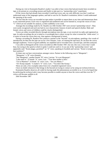During my visit to Konstantin Raudive's studio I was able to hear voices that had previously been recorded on tape, to be present at a recording-session and finally to take part in a "partnership-voice'' experiment.

Of the voices that had already been recorded I could hear every one; my only difficulty was that I could not understand some of the languages spoken, and had to wait for Dr. Raudive's translation, before I could understand the meaning of the words.

The fact that the voices are recorded on tape makes it possible to repeat them at any time and demonstrate them to any interested person. Each voice is registered and numbered and can be listened to, except the voices of class "C" which are not suitable for analysis, as their audibility is too weak.

Amongst the recordings made by Dr. Raudive on 10th October 1967 were several "partnership-voices". They were easily recognized and each one had its own characteristic features of pitch and speech-rhythm. Male and female voices and voices of children could be clearly distinguished.

Voices are either recorded directly through microphone onto the tape, or are received via radio and registered on tape. In radio-recordings the set is tuned to a wavelength that is silent, except for what is termed the "white noise"; it is easier to locate the voices that way, than against a background of music.

During a recording Dr. Raudive first contacts a partner in the "beyond" via microphone, speaking a few words of introduction; he then lets the tape run on for a few minutes. Later, on running the tape back, he can hear the voices through earphones. Voices of good audibility are amplified and re-recorded onto a second tape, and then analyzed.

I was able to distinguish all the voices recorded on 28th October 1967, bar one; this was a voice that I could hear, but owing to the speed at which it spoke I could not catch it. It was one of the "partnership-voices" and apparently said: "Koste plagas, pacietiesl"' an "A" voice, speaking in Swedish and Latvian: "Koste is trying hard, have patience!"

At times one can hear conversations amongst voices. Partner in the following case is "Margarete":

"Margarete," a "B" voice (female)

"Nav Margareta", another female "B" voice; Latvian: "It is not Margarete".

"Laba mate te." A female "A" voice; Latv.: "Your dear mother is here."

"Vai tu Mamma?" A female "A" voice; Latv.: "Are you Mama ?"

"Tev Kostja nepatik." A male(?) "A" voice; Latv.: "You don't like Kostja."

These are only a few examples taken from over a hundred registered voices.

I have no doubt whatsoever that beings in the beyond are trying to contact us by using our technical devices.

Konstantin Raudive deserves all credit for having made this phenomenon accessible to us. It is to be hoped that by perfecting the technical aids it may become possible to enable anyone to hear the voices and that even the "C" voices will become audible to all.

26th November 1967